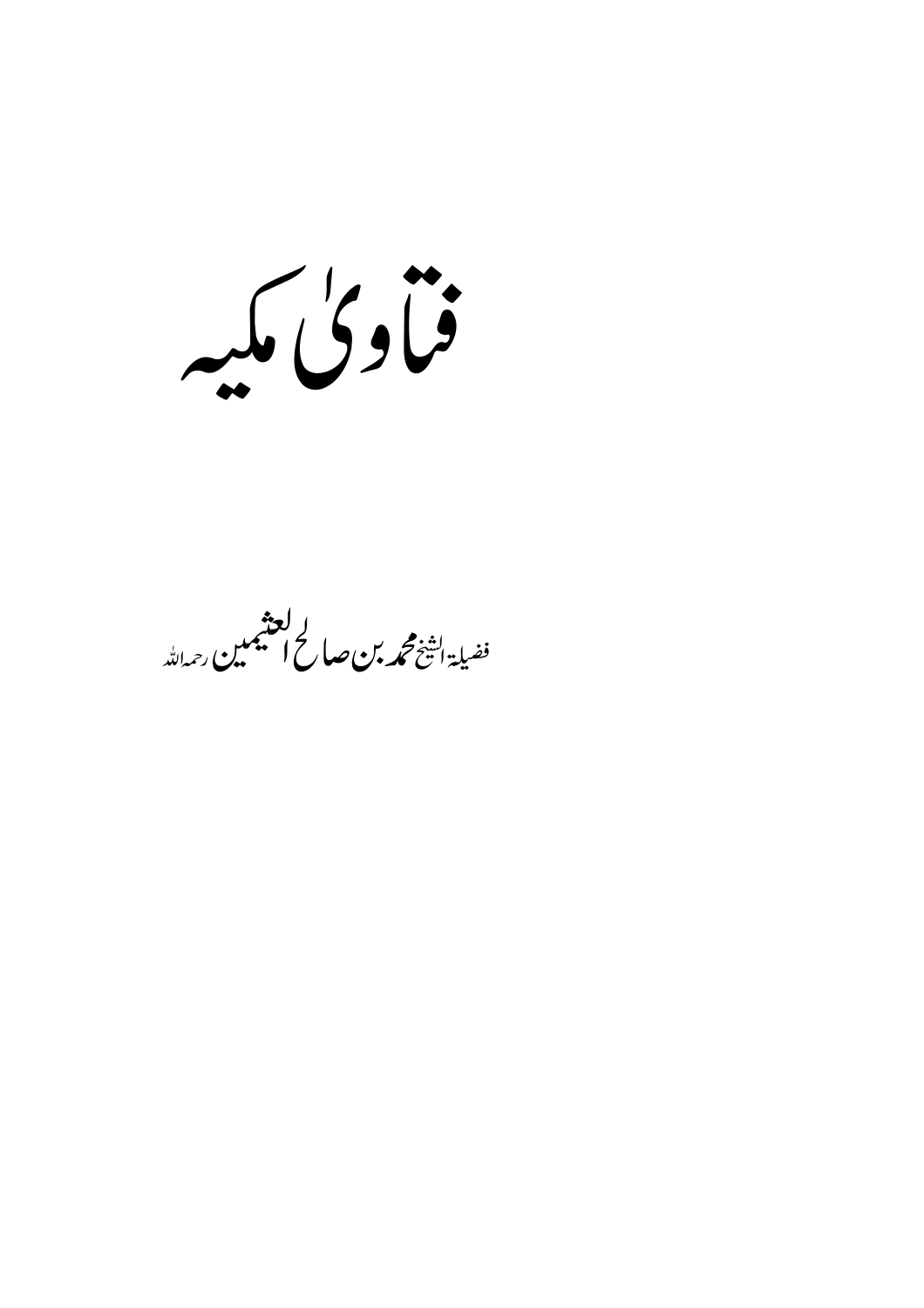فبأوكى مكيه

ا **لعنهمبر**<br>فضيلة ا<del>تف</del>خ **محمه بن صاح المنتهمبن** رحمهالله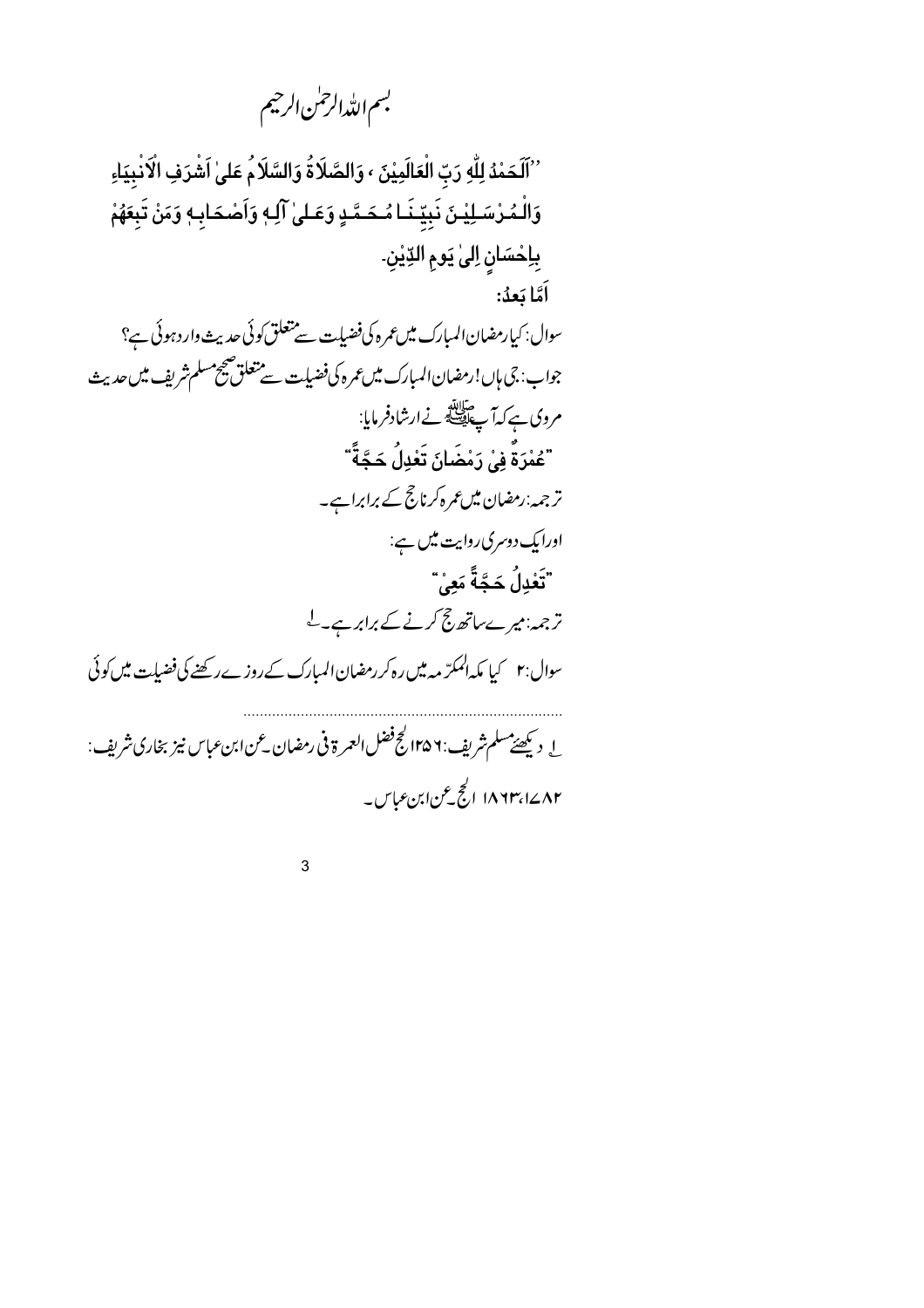بسم الله الرحمٰن الرحيم

''ٱلَحَمْدُ لِلَّهِ رَبّ الْعَالَمِيْنَ ، وَالصَّلَاةُ وَالسَّلَامُ عَلَىٰ اَشْرَفِ الْآنْبِيَاءِ وَالْمُرْسَـلِيْـنَ نَبِيِّـنَـا مُـحَـمَّـدٍ وَعَـلىٰ آلِـهٖ وَاَصْحَابِـهٖ وَمَنْ تَبِعَهُمْ بِإِحْسَانِ إِلَىٰ يَومِ الدِّيْنِ۔ اَمَّا بَعدُ: سوال: کیارمضان المبارک میں عمرہ کی فضیات سے متعلق کوئی حدیث وارد ہوئی ہے؟ جواب: جي ہاں!رمضان المبارک ميں عمر ہ کی فضیلت سے متعلق ضج مسلم شریف میں حدیث مروی ہے کہ آپ ایقا<br>مروی ہے کہا پ ایک ایسا کے ارشادفر مایا: <sup>"</sup>عُمْرَةٌ فِيْ رَمْضَانَ تَعْدِلُ حَجَّةً *"* تر جمہ:رمضان میں عمرہ کرنا حج کے برابراہے۔ اورایک دوسری روایت میں ہے: ِّ تَعْدِلُ حَجَّةً م*َعِ*يْ ترجمہ:میرےساتھ حج کرنے کے برابرہے۔ل سوال:۲ کیا مکہ المکرّ مہ میں رہ کر رمضان المبارک کے روزے رکھنے کی فضیلت میں کوئی ل د پھیئےمسلم شریف : ۱۳۵۶ کچ فضل العمر ة في رمضان عن ابن عباس نيز بخاري شريف : ۱۸۶۳٬۱۷۸۳ الجج عن ابن عباس۔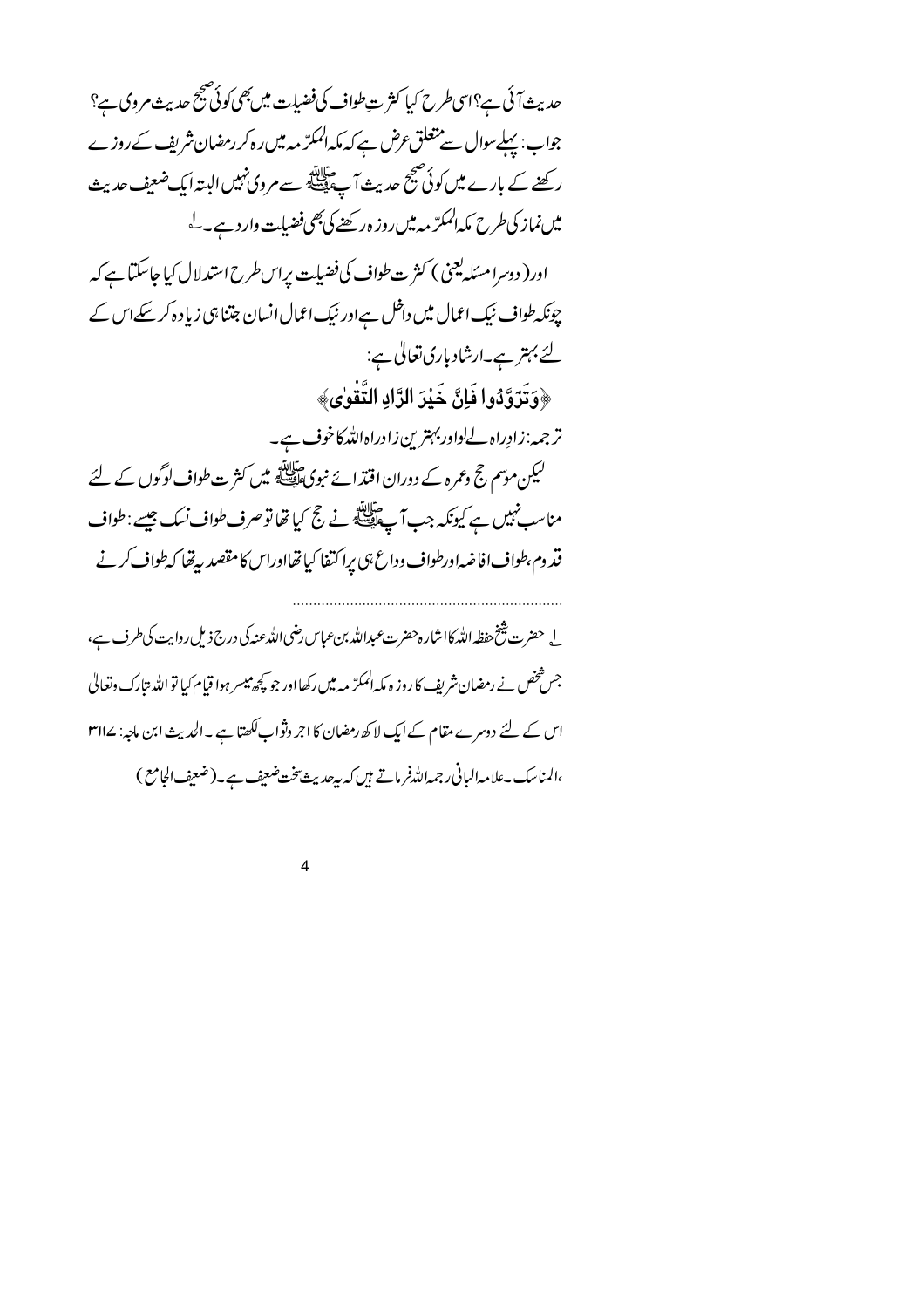حدیث آئی ہے؟اسی طرح کیا کثر ت طواف کی فضیات میں بھی کوئی صحیح حدیث مروی ہے؟ جواب: پہلےسوال سے متعلق عرض ہے کہ مکہ المکرّ مہ میں رہ کر رمضان شریف کے روزے رکھنے کے بارے میں کوئی صبح حدیث آپ ایک سے مروی نہیں البتہ ایک ضعیف حدیث میں نماز کی طرح مکہ المکرّ مہ میں روز ہ رکھنے کی بھی فضیلت وارد ہے۔ <sup>لے</sup> اور( دوسرا مسئلہ یعنی ) کثر ت طواف کی فضیات پراس طرح استدلال کیا جاسکتا ہے کہ چونکہ طواف نیک اعمال میں داخل ہےاور نیک اعمال انسان جتنا ہی زیادہ کر سکے اس کے لئے بہتر ہے۔ارشاد باری تعالیٰ ہے: ﴿وَتَزَوَّدُوا فَإِنَّ خَيْرَ الزَّادِ التَّقْوٰى﴾ ترجمہ:زادِراہ لےلواور بہترین زادراہاللہ کاخوف ہے۔ لیکن موسم حج وعمرہ کے دوران اقتدائے نبویﷺ میں کثر ت طواف لوگوں کے لئے مناسب نہیں ہے کیونکہ جب آپ ایک نے حج کیا تھا تو صرف طواف نسک جیسے : طواف قد وم طواف افاضہ اورطواف وداع ہی برا کتفا کیا تھااوراس کا مقصد بیرتھا کہ طواف کرنے لے حضرت شخ حفظہ اللہ کااشارہ حضرت *عبد*اللہ بن عباس رضی اللہ عنہ کی درج ذیل روایت کی طرف ہے،

۔<br>جس شخص نے رمضان شریف کا روز ہ مکہ ا<sup>لممک</sup>رّ مہ میں رکھااور جو <del>کچھ می</del>سر ہوا قیام کیا تو اللہ بتارک وتعالیٰ اس کے لئے دوسرے مقام کے ایک لاکھ رمضان کا اجر وثواب لکھتا ہے ۔الحدیث ابن ماجہ: ۱۳۱۷ ،المناسك -علامه الباني رجمه الله فرماتے ہيں كہ بہ جديث پنجنت ضعيف ہے -(ضعيف الجامع )

 $\overline{\mathbf{A}}$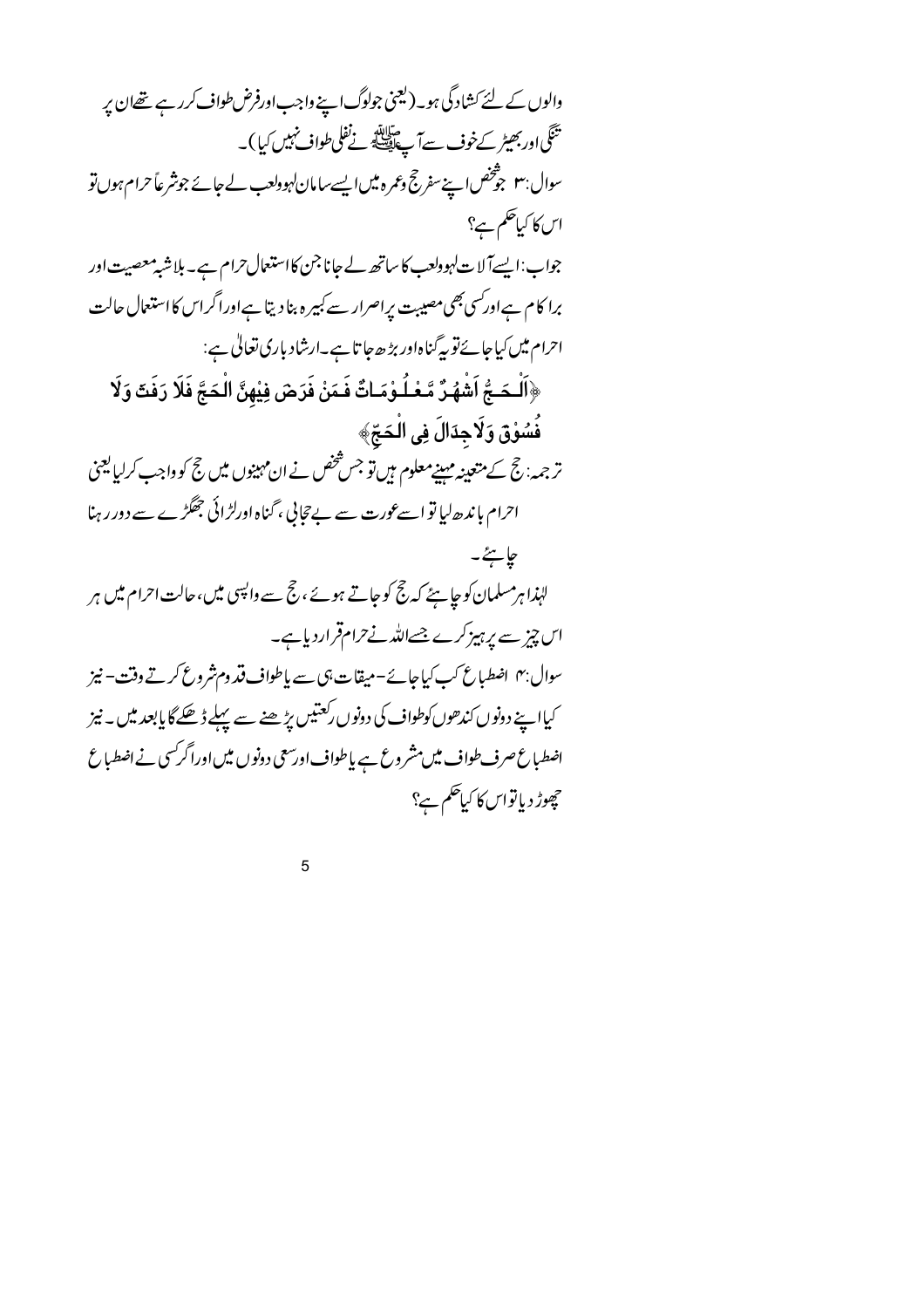والوں کے لئے کشادگی ہو۔(لیجنی جولوگ اپنے واجب اورفرض طواف کرر ہے تھےان پر تَنَكَّى اوربھیٹر کےخوف سےآ پے ایک پیشہ نےنفلی طواف نہیں کیا )۔ سوال:۳ جوْخص اپنےسفر حج وعمر ہ میں ایسےسامان لہوولعب لے جائے جونثر عاً حرام ہوں تو اس کا کیاتھم ہے؟ جواب:اپسےآلا ت\ہوولعب کا ساتھ لے جانا جن کااستعال حرام ہے۔ بلاشبہ معصیت اور برا کام ہےاورکسی بھی مصیبت پراصرار سے کبیر ہ بنا دیتا ہےاوراگراس کااستعال حالت احرام میں کیاجائے تو یہ گناہ اور بڑھ جا تاہے۔ارشاد باری تعالیٰ ہے: ﴿الْـدَـجُ اَشْهُـرٌ مَّـعْـلُـوْمَـاتٌ فَـمَنْ فَرَضَ فِيْهِنَّ الْـدَجَّ فَلَا رَفَتّ وَلَا فُسُوْقٌ وَلَاجِدَالَ فِي الْحَجِّ﴾ ترجمہ: حج کے متعینہ مہینےمعلوم ہیں تو جس شخص نے ان مہینوں میں حج کو واجب کرلیا یعنی احرام باندھ لیا تو اسے عورت سے بے تجانی ، گناہ اورلڑائی جھگڑے سے دور رہنا جايځ۔ لہٰذا ہرمسلمان کو جا ہئے کہ جج کو جاتے ہوئے ، حج سے واپسی میں،حالت احرام میں ہر اس چیز سے پرہیز کرے جسےاللہ نے حرام قرار دیا ہے۔ سوال:۴ اضطباع کپ کیاجائے-میقات،پیسے پاطواف قد وم شروع کرتے وقت-نیز کیاا پنے دونوں کندھوں کوطواف کی دونوں رکعتیں بڑھنے سے پہلے ڈھکے گا پابعد میں ۔ نیز اضطباع صرف طواف میں مشر وع ہے پاطواف اورسعی دونوں میں اورا گرکسی نے اضطباع چھوڑ دیاتواس کا کیا<sup>حک</sup>م ہے؟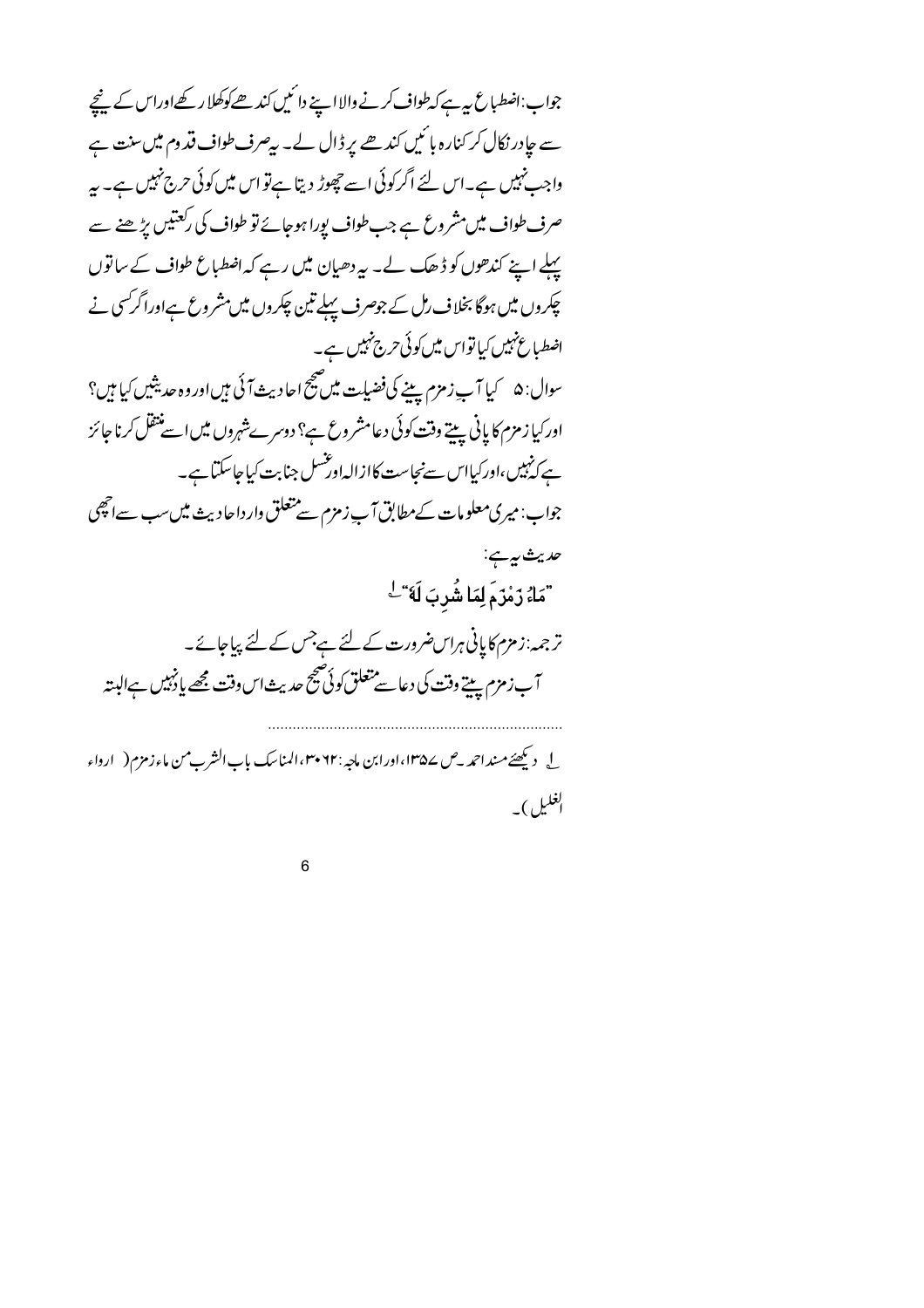جواب:اضطباع بیہ ہے کہ طواف کرنے والا اپنے دائمیں کندھے کوکھلا رکھےاوراس کے پنچے سے جادر نکال کر کنارہ ہائیں کندھے پر ڈال لے۔ بیصرف طواف قدوم میں سنت ہے واجب نہیں ہے۔اس لئے اگر کوئی اسے چھوڑ دیتا ہےتو اس میں کوئی حرج نہیں ہے۔ بہر صرف طواف میں مشروع ہے جب طواف پورا ہوجائے تو طواف کی رکعتیں پڑھنے سے پہلے اپنے کندھوں کو ڈھک لے۔ یہ دھیان میں رہے کہ اضطباع طواف کے ساتوں چکروں میں ہوگا بخلاف رال کے جوصرف پہلے تین چکروں میں مشروع ہےاورا گرکسی نے اضطباع نہیں کیاتواس میں کوئی حرج نہیں ہے۔ اور کیا زمزم کا پانی پیتے وقت کوئی دعامشر وع ہے؟ دوسرےشہروں میں اسے منتقل کرنا جائز ہے کہٰبیں،اورکیااس سےنجاست کاازالہاورشسل جنابت کیاجاسکتا ہے۔ جواب: میری معلومات کے مطابق آپ زمزم سے متعلق وارداحادیث میں سب سےانھی حديث په پ "مَاءُ رَمْزَمَ لِمَا شُرِبَ لَه<sub>َ</sub>"<sup>ل</sup> ترجمہ:زمزم کاپانی ہراس ضرورت کے لئے ہے جس کے لئے پیاجائے۔ آب زمزم يبيتے وقت كى دعا سے متعلق كوئى صحيح حديث اس وقت مجھے پا پنہيں ہےالبتہ ل دیکھئے مشداحمد \_ص ۱۳۵۷، اورابن ماجہ : ۲۲ ۳۰ المناسک باب الشرب من ماء زمزم ( ارواء لغليل)۔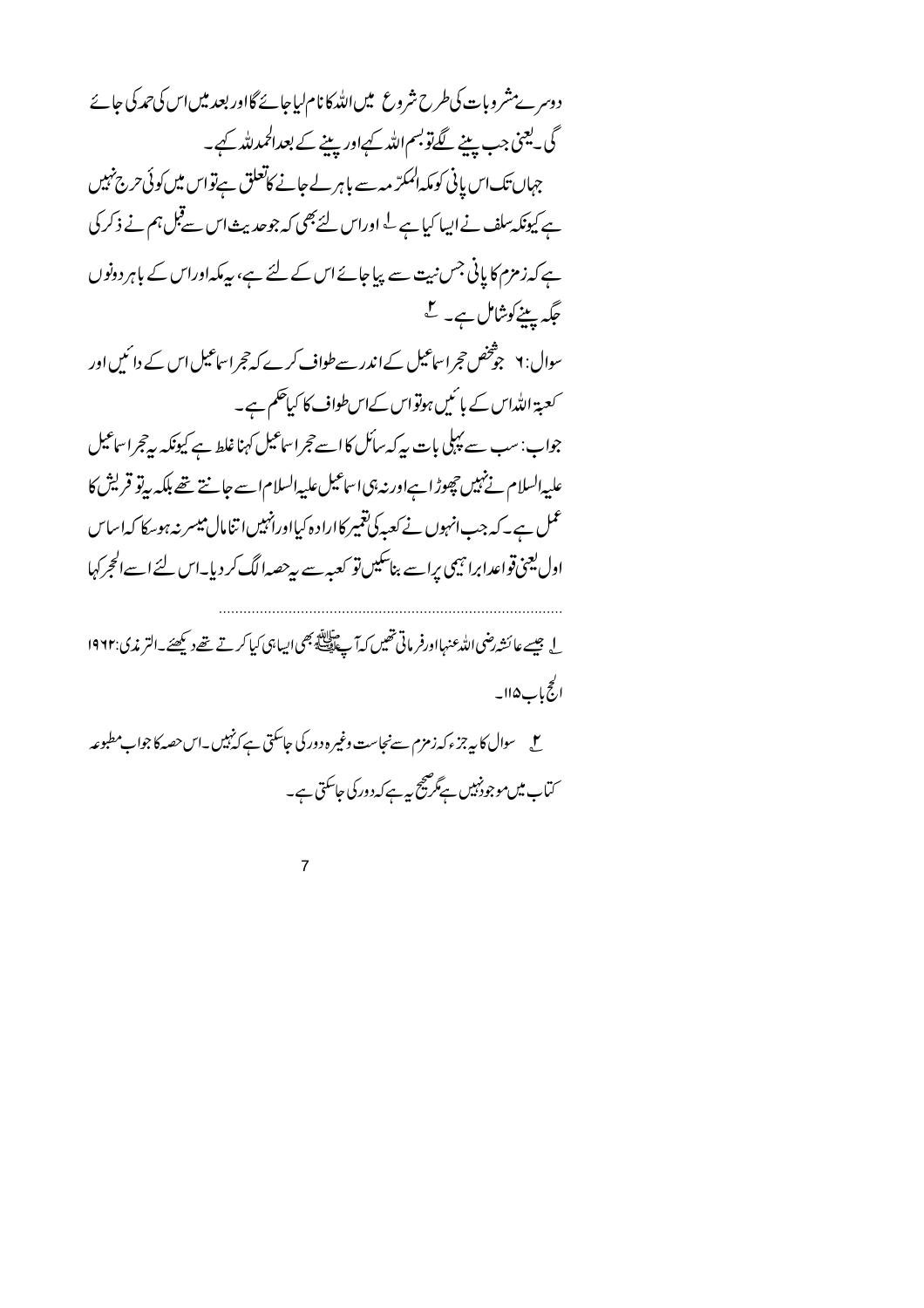دوسرےمشروبات کی طرح شروع میں اللہ کا نام لیاجائے گااور بعد میں اس کی حمد کی جائے گی۔یعنی جب پینے لگےتوبسماللہ کیےاور پینے کے بعدالحمدللہ کیے۔ جہاں تک اس پانی کومکہ المکرّ مہ سے باہر لے جانے کاتعلق ہےتواس میں کوئی حرج نہیں ہے کیونکہ سلف نے ایپا کیا ہے <sup>لے</sup> اوراس لئے بھی کہ جوحدیث اس سے قبل ہم نے ذکر کی ہے کہ زمزم کا پانی جس نیت سے پیاجائے اس کے لئے ہے، پیہ کہ اوراس کے باہر دونوں جگہ پینے کوشامل ہے۔ کے سوال: ٧ جوشخص حجراساعیل کےاندر سےطواف کرے کہ حجراساعیل اس کے دائمیں اور

کعبۃ اللہاس کے بائمیں ہوتواس کےاسطواف کا کیاتھم ہے۔ جواب: سب سے پہلی بات پہ کہ سائل کا اسے حجراساعیل کہنا غلط ہے کیونکہ پیرحجراساعیل علىپەالسلام نے نہيں چھوڑا ہےاور نہ ہی اساعيل عليہ السلام اسے جانتے تھے بلكہ بہ تو قریش كا عمل ہے۔کہ جب انہوں نے کعبہ کی تغییر کااراد ہ کیااورانہیں اتنامال میسر نہ ہوسکا کہ اساس اول یعنی قواعدابرا نہیمی پراسے بناسکیں تو کعبہ سے پیرحصہا لگ کر دیا۔اس لئے اسے الحجرکہا

له جيسے عائشہ رضي اللہ عنہااورفر ماتي تھيں کہ آ جاﷺ بھي ايباہي کيا کرتے تھے ديکھئے۔التر مذي:١٩٦٢ الجح باب ۱۱۵۔

س<br>سے سوال کا پہ جزء کہ زمزم سےنجاست وغیر ہ دور کی جاسکتی ہے کہ نہیں۔اس حصہ کا جواب مطبوعہ ۔<br>سماے میں موجود نہیں ہے گر صح بہ ہے کہ دور کی حاسکتی ہے۔

 $\overline{7}$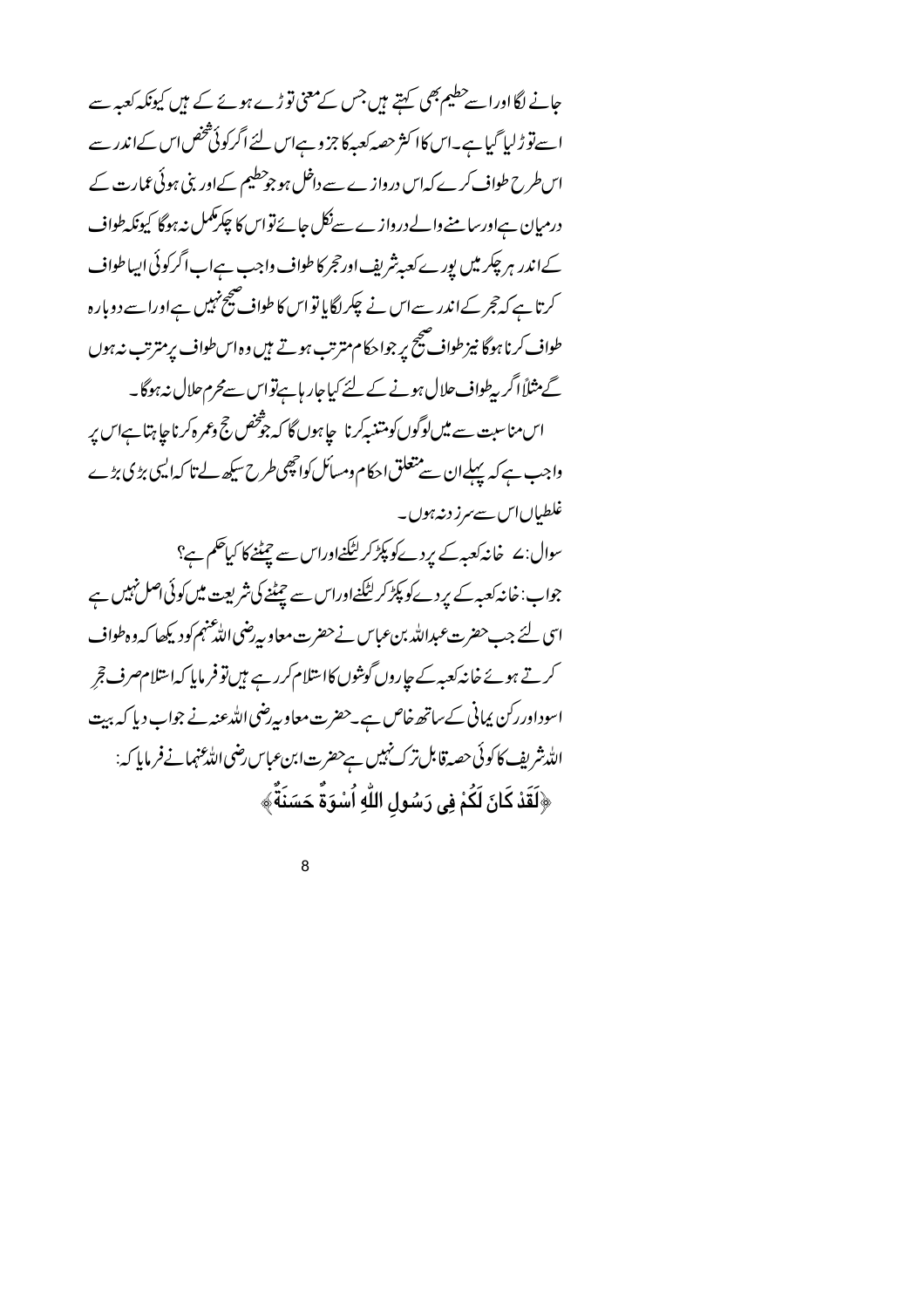حانے لگااوراسے حطیم بھی کہتے ہیں جس کےمعنی تو ڑے ہوئے کے ہیں کیونکہ کعبہ سے اسے توڑلیا گیاہے۔اس کاا کثر حصہ کعبہ کا جزوہاں لئے اگرکوئی شخص اس کےاندر سے اس طرح طواف کرے کہاں دروازے سے داخل ہو جوحطیم کےاور بنی ہوئی عمارت کے درمیان ہےاورسا منےوالےدروازے سےنکل جائے تواس کا چکرمکمل نیہوگا کیونکہ طواف کےاندر ہر چکر میں پورے کعبہ شریف اورحجر کا طواف واجب ہےاب اگرکوئی ایپاطواف کرتا ہے کہ حجر کےاندر سےاس نے چکراگایا تواس کا طواف صحیح نہیں ہےاورا سے دوبارہ طواف کرنا ہوگا نیز طواف صحیح پر جواحکام مترتب ہوتے ہیں وہ اس طواف پرمترتب نہ ہوں گے مثلاً اگر بہطواف حلال ہونے کے لئے کیاجار ہاہےنواس سےمحرم حلال نہ ہوگا۔ اس مناسبت سے میں لوگوں کومتنبہ کرنا چاہوں گا کہ چوشخص جح وعمرہ کرناچا ہتا ہےاس پر واجب ہے کہ پہلےان سے متعلق احکام ومسائل کوانچھی طرح سیکھ لے تا کہ ایسی بڑی بڑے غلطياںاس سے مرز دنہ ہوں۔ سوال:ے خانہ کعبہ *کے یر*دےکو پکڑ کر لٹکنےاوراس سے چیٹنے کا کیا<sup>حک</sup>م ہے؟ جواب:خانہ کعبہ کے بردےکو پکڑ کر لٹکنےاوراس سے چیٹنے کی شریعت میں کوئی اصل نہیں ہے اسی لئے جب حضرت عبداللہ بن عباس نے حضرت معاویہ پیضی اللّٰه عنہم کودیکھا کہ وہ طواف کرتے ہوئے خانہ کعبہ کے جاروں گوشوں کااسلام کررہے ہیں تو فرمایا کہاسلام صرف حجر اسوداوررکن یمانی کےساتھ خاص ہے۔حضرت معاویہ ِضی اللہ عنہ نے جواب دیا کہ بیت الله نثر بف کا کوئی حصہ قابل ترک نہیں ہےحضرت ابن عباس رضی اللہ عنہمانے فرمایا کہ: ﴿لَقَدْ كَانَ لَكُمْ فِى رَسُولِ اللَّهِ اُسْوَةٌ حَسَنَةٌ ﴾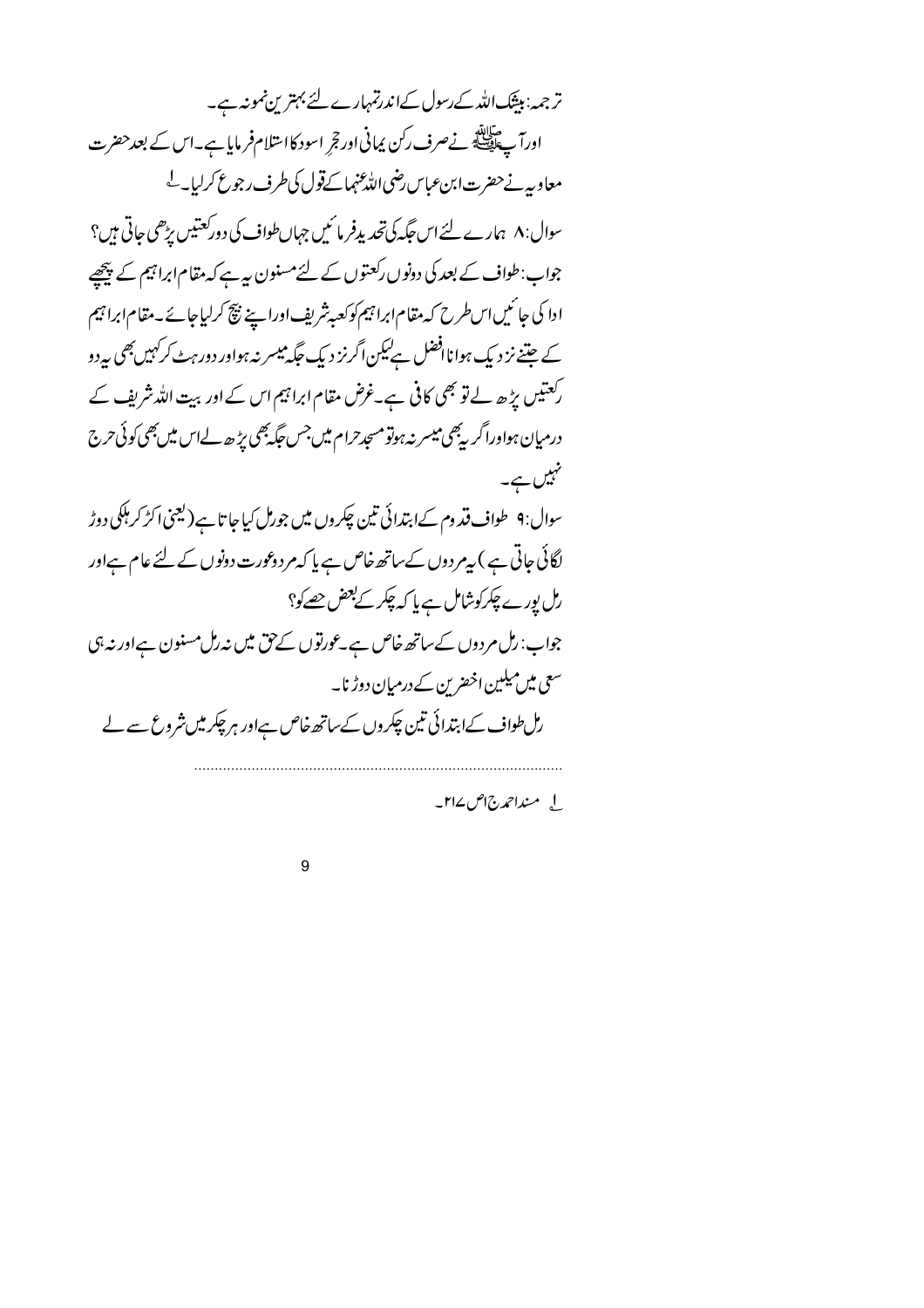ترجمہ: بیٹک اللہ کے رسول کےاندرتمہارے لئے بہترین نمونہ ہے۔ اورآ پے پیلینس نے صرف رکن پمانی اور تجر اسود کااستلام فرمایا ہے۔اس کے بعد حضرت معاوبيه نے حضرت ابن عباس رضي اللہ عنہماکےقول کی طرف رجوع کرلیا۔ ل سوال: ۸ ہمارے لئے اس جگہ کی تحدیدِفر مائیں جہاں طواف کی دورکعتیں پڑھی جاتی ہیں؟ جواب:طواف کے بعد کی دونوں رکعتوں کے لئے مسنون بیہ ہے کہ مقام ابراہیم کے پیچھیے ادا کی جا ئیں اس طرح کہ مقام ابرا تیم کوکعبہ شریف اوراپنے نیچ کرلیاجائے۔مقام ابرا تیم کے جتنے نز دیک ہوا نافضل ہےلیکن اگرنز دیک جگہ میسر نہ ہواور دور ہٹ کرکہیں بھی ہے دو رکعتیں بڑھ لے تو بھی کافی ہے۔غرض مقام ابراہیم اس کے اور بیت اللہ شریف کے درمیان ہواوراگر بیچی میسر نہ ہوتو مسجد حرام میں جس جگہ بھی بڑ ھ لےاس میں بھی کوئی حرج تہیں ہے۔ سوال: ۹ طواف قد وم کےابتدائی تین چکروں میں جورمل کیاجا تا ہے ( یعنی اکڑ کر ہلکی دوڑ لگائی جاتی ہے ) بیر روں کے ساتھ خاص ہے یا کہ مر دوعورت دونوں کے لئے عام ہےاور رں بورے چکرکوشامل ہے یا کہ چکر کے بعض <u>حص</u>کو؟ جواب: رل مردوں کے ساتھ خاص ہے۔عورتوں کے حق میں نہ رل مسنون ہےاور نہ ہی سعی میں میلین اخضرین کے درمیان دوڑنا۔ رال طواف کےابتدائی تین چکروں کےساتھ خاص ہےاور ہر چکر میں شروع سے لے

ل منداحمدج اص ۱۲۷\_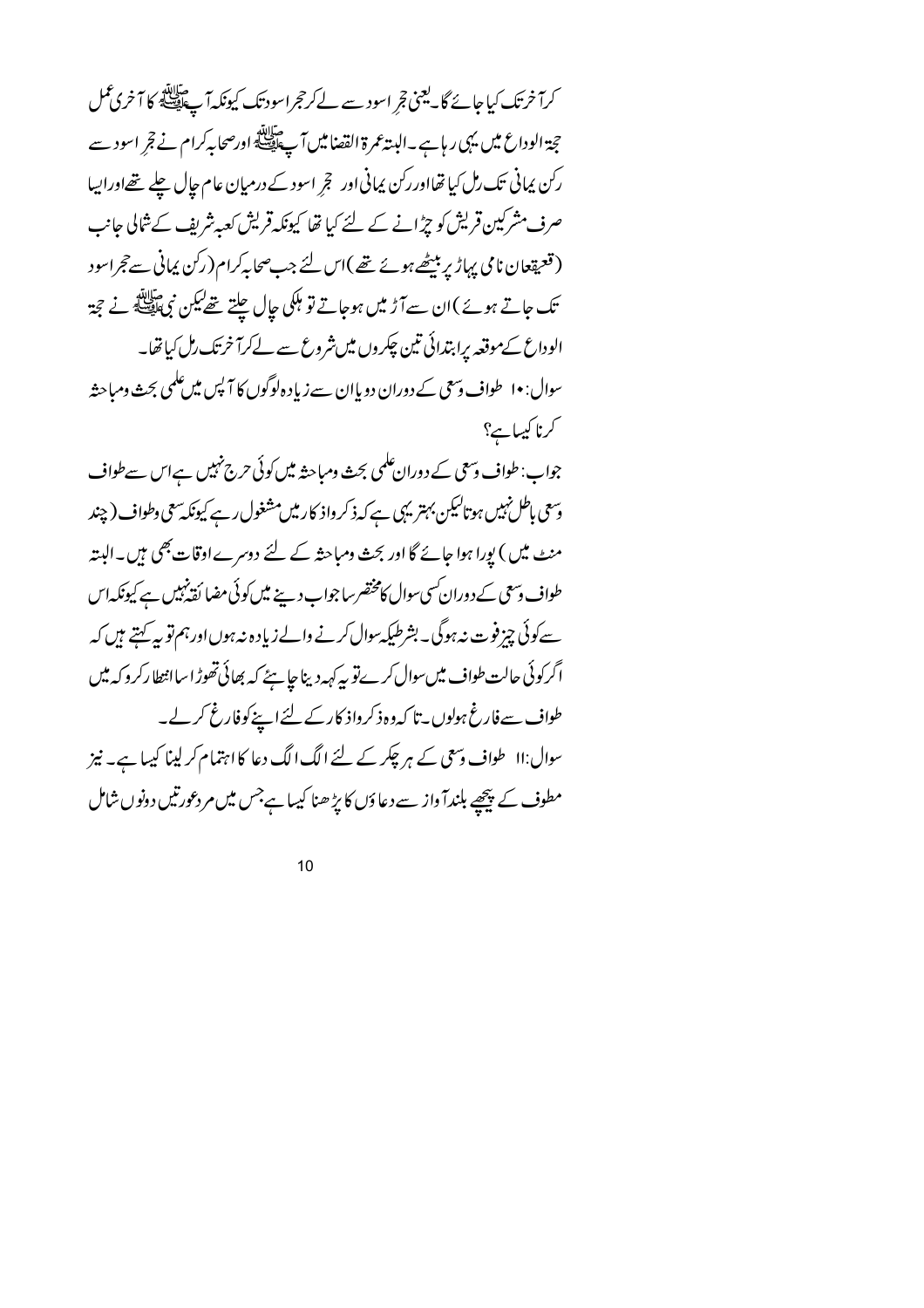کرآ خرتک کیاجائے گا۔یعنی تجر اسود سے لےکرحجراسود تک کیونکہ آپ ایلی کا آخری عمل حجة الوداع ميں يہى ر ہا ہے۔البتہ عمرة القصاميں آپ اللہ اورصحابہ كرام نے قجر اسود سے رکن پمانی تک رل کیاتھااوررکن پمانی اور تجر اسود کے درمیان عام جال چلے تھےاوراپیا صرف مشرکین قریش کو جڑانے کے لئے کیا تھا کیونکہ قریش کعبہ شریف کے شالی جانب ( قعیقعان نامی یہاڑ پر بیٹھے ہوئے تھے )اس لئے جب صحابہ کرام( رکن پمانی سے حجراسود تک جاتے ہوئے )ان سےآڑ میں ہوجاتے تو ہلکی جال چلتے تھےکیکن نمی ایک پر نے تجۃ الوداع کےموقعہ پراہتدائی تین چکروں میں شروع سے لےکرآ خرتک رمل کیاتھا۔ سوال: ۱۰ طواف دسمی کے دوران دو پاان سے زیاد ہ لوگوں کا آپس میں علمی بحث ومباحثہ کرنا کیپاہے؟

جواب: طواف وسعی کے دوران علمی بحث ومباحثہ میں کوئی حرج نہیں ہےاس سے طواف وسعی باطل نہیں ہوتالیکن بہتر یہی ہے کہ ذکر واذ کارمیں مشغول رہے کیونکہ سعی وطواف (چند منٹ میں ) بورا ہوا جائے گا اور بحث ومباحثہ کے لئے دوسرے اوقات بھی ہیں۔البتہ طواف وسعی کے دوران سی سوال کامختصر ساجواب دینے میں کوئی مضا کقہ نہیں ہے کیونکہ اس سے کوئی چیز فوت نہ ہوگی۔ بشرطیکہ سوال کرنے والے زیادہ نہ ہوں اور ہم تو پہ کہتے ہیں کہ اگرکوئی حالت طواف میںسوال کرے تو یہ کہہ دینا جا ہئے کہ بھائی تھوڑا ساانتطارکر د کہ میں طواف سے فارغ ہولوں ۔ تا کہ وہ ذکر واذ کارکے لئے اپنے کوفارغ کرلے۔ سوال:اا \_ طواف وسعی کے ہر چکر کے لئے الگ الگ دعا کا اہتمام کر لینا کیہا ہے۔ نیز مطوف کے پیچھے بلندآ واز سے دعاؤں کا بڑھنا کیہا ہےجس میں مردعورتیں دونوں شامل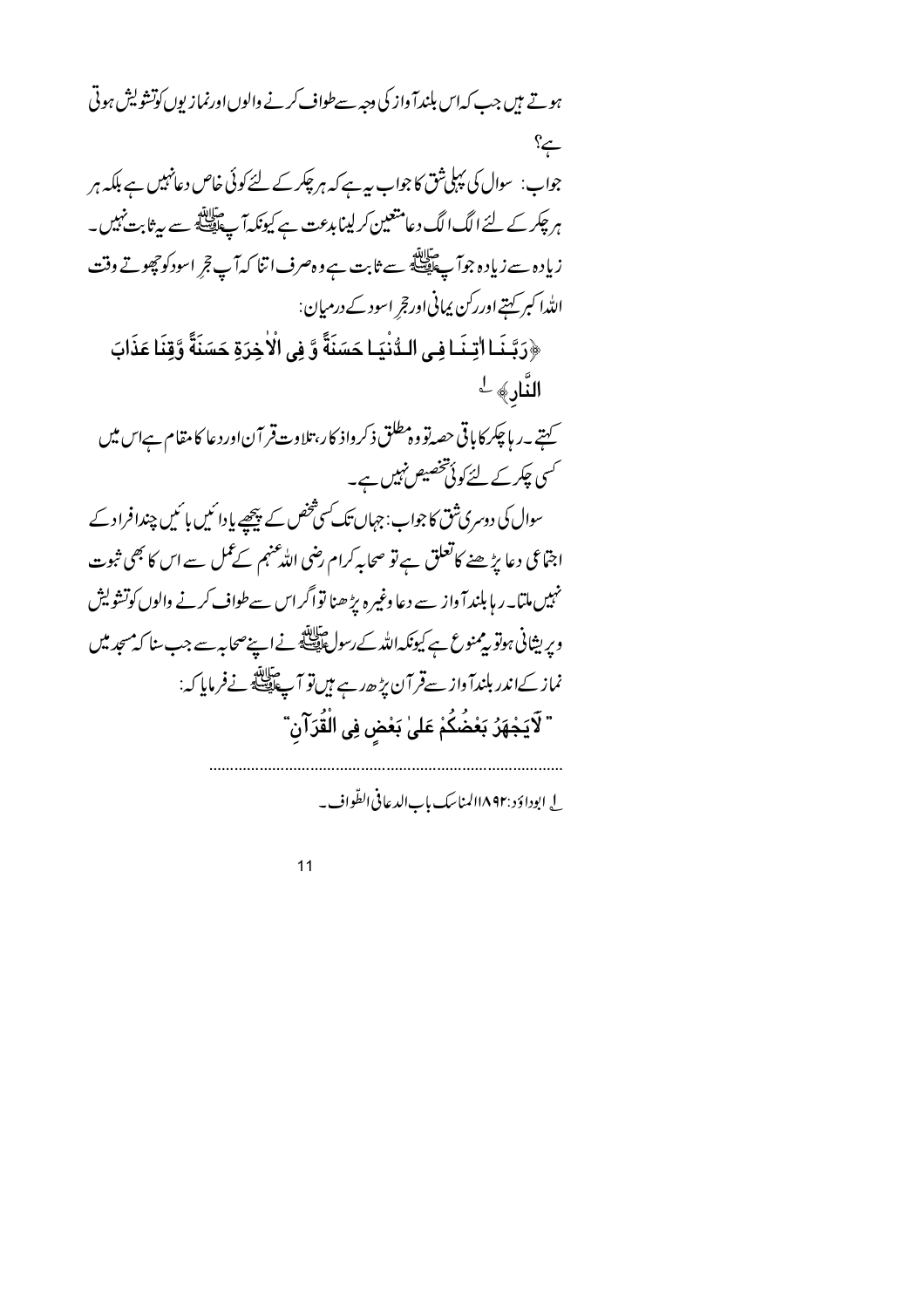ہوتے ہیں جب کہاس بلندآ واز کی دجہ سےطواف کرنے والوں اورنماز یوں کوتشویش ہوتی  $\cong$ جواب: سوال کی پہلی شق کا جواب ہیے کہ ہر چکر کے لئے کوئی خاص دعانہیں ہے بلکہ ہر ہر چکر کے لئے الگ الگ دعامتعین کر لینا بدعت ہے کیونکہ آپ ایقے سے ہیٹا بت نہیں۔ زیادہ سے زیادہ جوآ چلاتھا ہے ثابت ہے وہ صرف اتنا کہآ پ قجر اسودکو چھوتے وقت الله اکبر کہتے اوررکن پمانی اور قجر اسود کے درمیان: ﴿رَبَّـنَـا اٰتِـنَـا فِـي الـدُّنْيَـا حَسَنَةً وَّ فِي الْاٰخِرَةِ حَسَنَةً وَّقِنَا عَذَابَ النَّارِ﴾ -\_<br>ستے پہ پاچکرکایاتی حصہ تو وہ مطلق ذکر داذ کار، تلاوت قر آن اور دعا کامقام ہےاس میں کسی چکرکے لئےکوئی تخصیص نہیں ہے۔ سوال کی دوسری شق کا جواب: جہاں تک کسی شخص کے پیچھیے پادا ئمیں با ئمیں چندافراد کے اجتّاعی دعا پڑھنے کاتعلق ہے تو صحابہ کرام رضی اللّٰہٴنہم کے عمل سے اس کا بھی ثبوت نہیں ملتا۔ر ہا بلند آ واز سے دعا وغیرہ بڑ ھنا تواگراس سےطواف کرنے والوں کوتشویش ویریشانی ہوتو بیمنوع ہے کیونکہ اللہ کےرسول ﷺ نے اپنے صحابہ سے جب سنا کہ مسجد میں نماز کےاندر بلندآ واز سےقر آن پڑھ رہے ہیں تو آ پے پیچلے نےفرمایا کہ: " لَايَجْهَرُ بَعْضُكُمْ عَلىٰ بَعْضٍ فِى الْقُرَآنِ"

ل ايوداؤد :١٨٩٢لمناسك بابالدعافي الظّواف به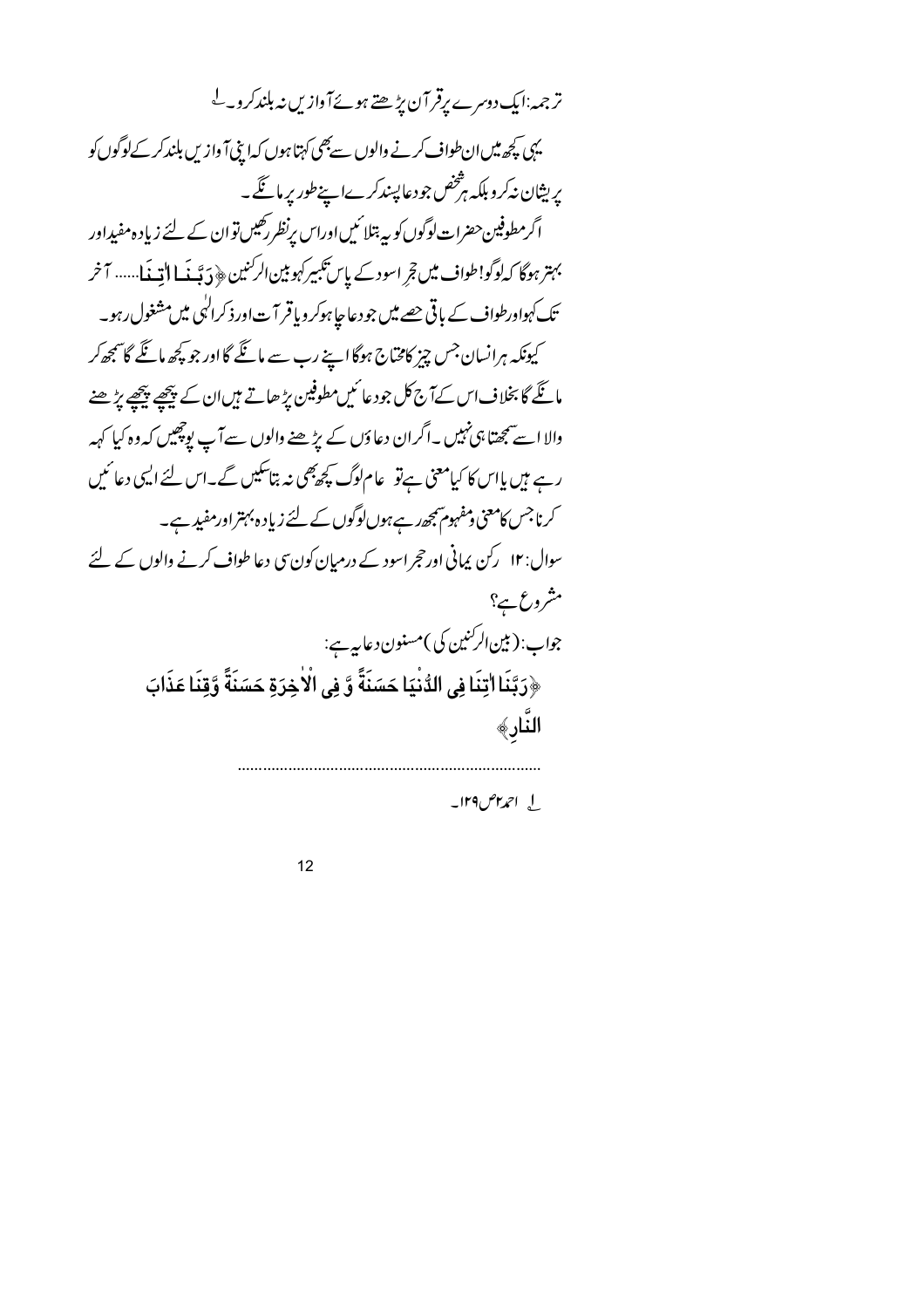ترجمہ:ایک دوسرے پرقر آن پڑھتے ہوئےآوازیں نہ بلندکروے یہی کچھ میں ان طواف کرنے والوں سے بھی کہتا ہوں کہ اپنی آ وازیں بلندکر کےلوگوں کو پریشان نہ کرو بلکہ ہڑخص جودعا پسندکرےا پنےطور پر مانگے۔ اگرمطوفین حضرات لوگوں کو بیہ بتلا ئیں اوراس یرنظر رکھیں تو ان کے لئے زیادہ مفیداور بہتر ہوگا کہلوگو!طواف میں تجر اسود کے پاس تکبیرکہو بین الرکنین ﴿ دَبَّنَہ مَا اللّه بِمَا...... آخر تک کہواورطواف کے باقی جھے میں جو دعا جا ہوکر وباقر آ ت اور ذکرالٰہی میں مشغول رہو۔ کیونکہ ہرانسان جس چیز کامخاج ہوگا اپنے رب سے مانگے گا اور جو کچھ مانگے گا سمجھ کر مائکے گا بخلاف اس کےآج کل جود عائمیں مطوفین بڑ ھاتے ہیں ان کے پیچھے پیچھے بڑھنے والا اسے سمجھتا ہی نہیں ۔اگران دعاؤں کے بڑھنے والوں سے آپ بوچھیں کہ وہ کیا کہہ رہے ہیں پاس کا کیامعنی ہےتو عام لوگ کچھ بھی نہ بتاسکیں گے۔اس لئے ایسی دعا ئیں کرنا جس کامعنی ومفہوم پمجھ رہے ہوں لوگوں کے لئے زیاد ہ بہتر اورمفید ہے۔ سوال: ۱۲ رکن پہانی اورحجر اسود کے درمیان کون سی دعا طواف کرنے والوں کے لئے مشروع ہے؟ جواب: (بين الرکنين کې)مسنون د عاييے: ﴿رَبَّنَا اٰتِنَا فِي الدُّنْيَا حَسَنَةً وَّ فِي الْاٰخِرَةِ حَسَنَةً وَّقِنَا عَذَابَ النَّارِ﴾

ل احمد ۲۹ س۱۲۹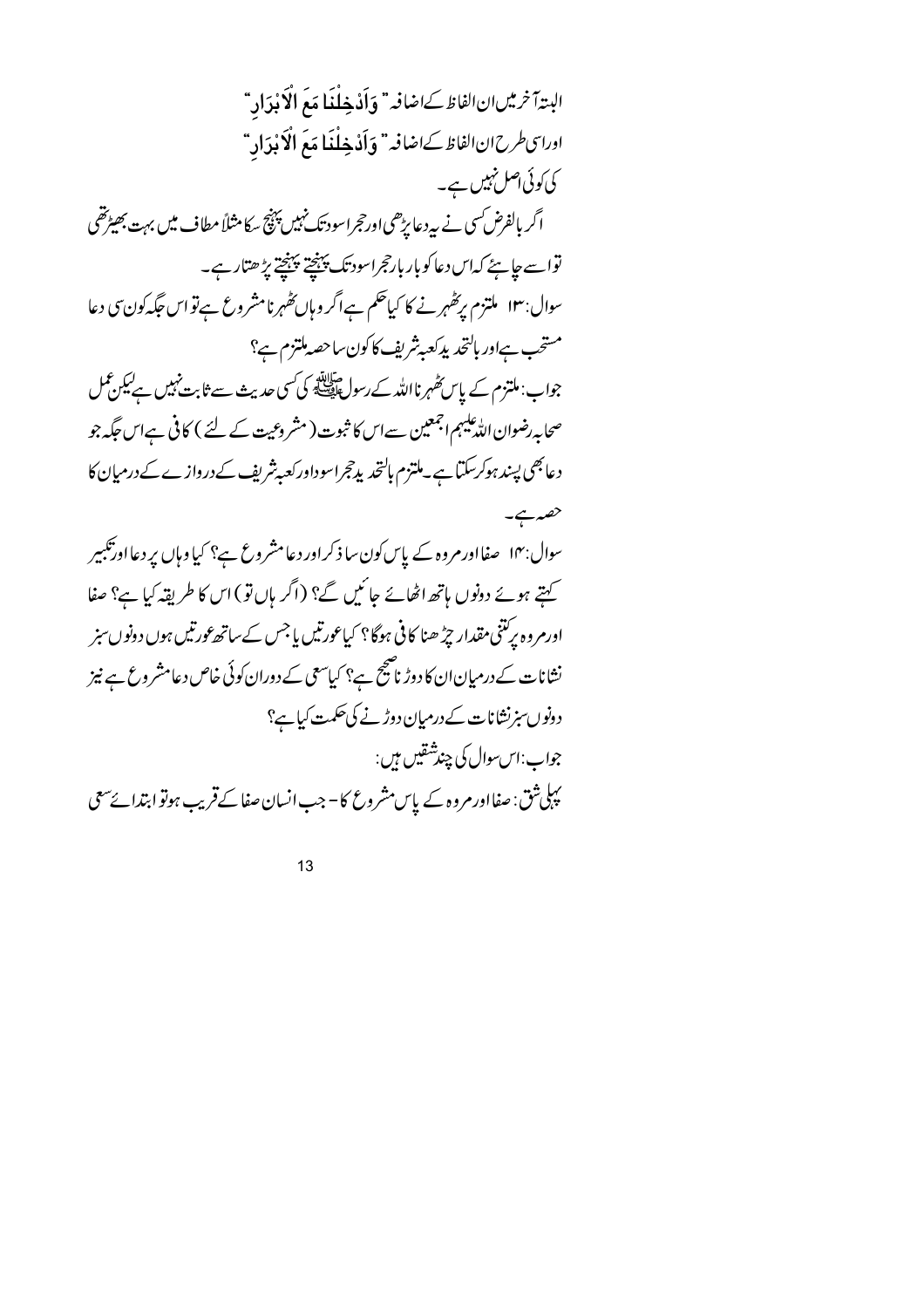البتدآ نرمين ان الفاظ كےاضافيه" وَأَدْ خِلْغَا مَعَ الْإَبْدَادِ " ادرا سى طرح ان الفاظ كےاضافہ" وَأَدْ خِلْنَا مَعَ الْإِبْدَادِ " کی کوئی اصل نہیں ہے۔ اگر بالفرض کسی نے بیردعا پڑھی اورحجراسود تک نہیں پہنچ سکا مثلاً مطاف میں بہت بھیڑتھی تواسے جا ہئے کہاس دعا کو بار بارحجراسود تک پہنچتے پہنچتے پڑ ھتارہے۔ سوال:۱۳ ملتزم بریٹھہرنے کا کیاحکم ہےاگر وہاں تھہرنامشروع ہےتو اس جگہ کون سی دعا مستحب ہےاور ہالتحد پدکعہ بٹریف کاکون ساحصہ ملتزم ہے؟ جواب: ملتزم کے پاس *کھہر* نااللہ کے رسولﷺ کی کسی حدیث سے ثابت نہیں ہے لیکن عمل صحابہ رضوان اللہ علیہم ا<sup>جمع</sup>ین سےاس کا ثبوت ( مشروعیت کے لئے ) کافی ہےاس حَکہ جو دعابھی پسند ہوکرسکتا ہے۔ملتزم بالتحدیدچراسوداورکعیہ شریف کے دروازے کے درمیان کا حصہ ہے۔ سوال:۱۴ صفااورمروہ کے پاس کون سا ذکراور دعامشروع ہے؟ کیا وہاں پر دعااور تکبیر کہتے ہوئے دونوں ہاتھ اٹھائے جائیں گے؟ (اگر ہاں تو) اس کا طریقہ کیا ہے؟ صفا اورمروہ پریتنی مقدار چڑھنا کافی ہوگا؟ کیاعورتیں یاجس کےساتھ عورتیں ہوں دونوں سبز نشانات کے درمیان ان کا دوڑ ناصیح ہے؟ کیاسعی کے دوران کوئی خاص دعامشر وع ہے نیز دونوں سزنشانات کے درمیان دوڑنے کی حکمت کیاہے؟ جواب:اس سوال کې چندشقیں ہیں: یپلی شق: صفااور مروہ کے پاس مشروع کا- جب انسان صفا کے قریب ہوتو ابتدائے سعی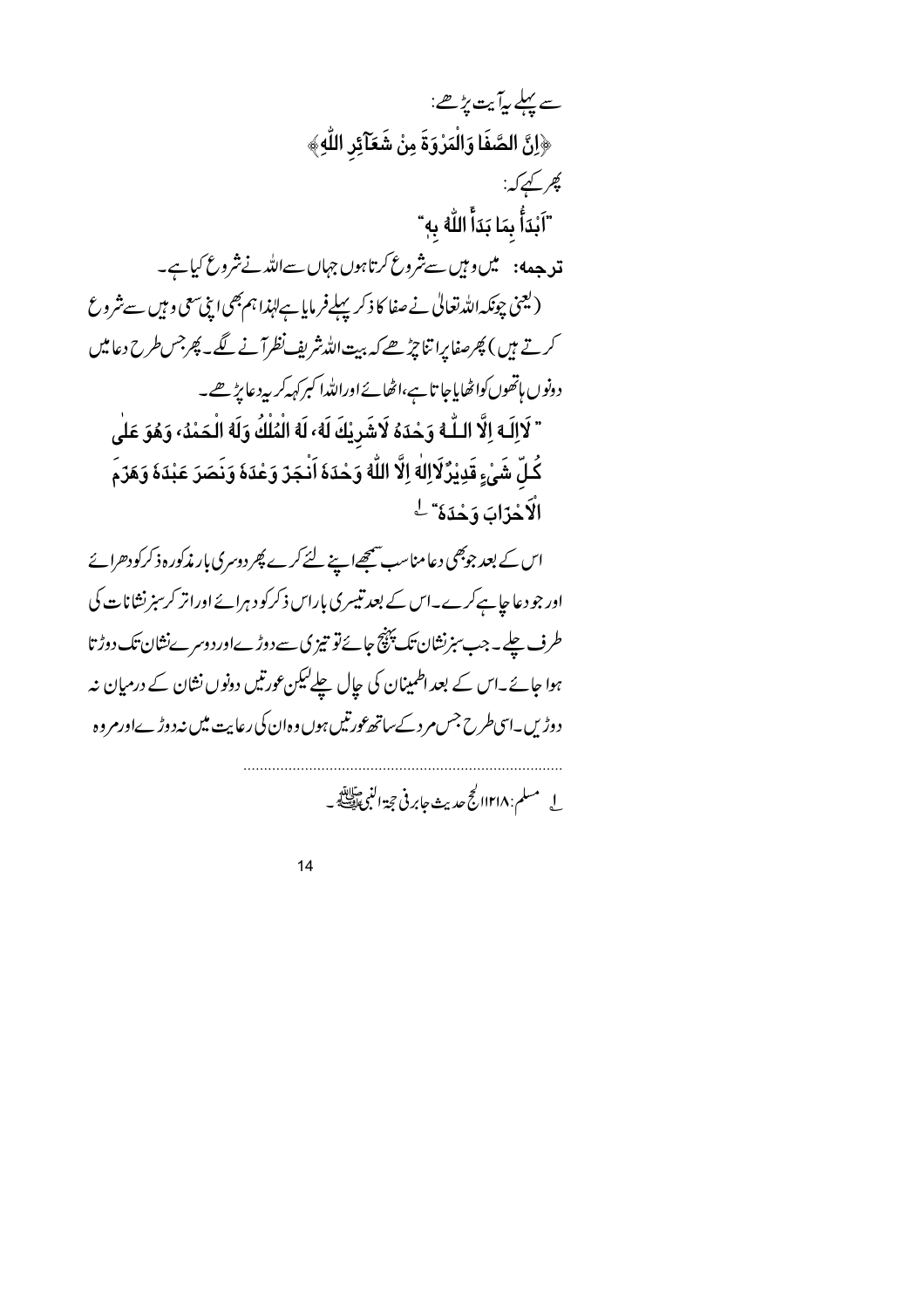سے پہلے پہ آیت پڑھے: ﴿اِنَّ الصَّفَا وَالْمَرْوَةَ مِنْ شَعَآئِر اللَّهِ﴾ کھر کہے کہ: "اَبْدَأُ بِمَا بَدَأَ اللَّهُ بِهِ" قد جہه: میں وہیں سےشروع کرتاہوں جہاں سےاللہ نے شروع کیا ہے۔ (یعنی چونکہ اللہ تعالٰی نے صفا کا ذکر پہلےفر مایا ہے لہٰذا ہم بھی اپنی سعی و ہیں سے شروع کرتے ہیں ) پھرصفا پرا تنا چڑھے کہ بیت اللہ شریف نظرآ نے لگے۔ پھرجس طرح دعامیں دونوں ہاتھوں کواٹھایاجا تاہے،اٹھائےاوراللہ اکبرکہہ کربیہ دعا پڑھے۔ " لَاإِلَـه إِلَّا الـلَّـه وَحْدَهُ لَاشَرِيْكَ لَهُ، لَه الْمُلْكُ وَلَه الْـحَمْدُ، وَهُوَ عَلَى كُـلِّ شَيْءٍ قَدِيْرٌ لَااِلٰهَ اِلَّا اللَّهُ وَحْدَهَ اَنْـجَرٌ وَعْدَهَ وَنَصَرَ عَبْدَهَ وَهَرٌمَ الاَحْزَابَ وَحْدَهُ" ل اس کے بعد جوبھی دعامناسب سمجھےاپنے لئے کرے پھر دوسری بار مذکورہ ذکرکودھرائے

اور جو دعا جا ہےکرے۔اس کے بعد تیسری باراس ذکرکو دہرائے اورانر کرسبزنشانات کی طرف چلے۔جب سنرنشان تک پہنچ جائےتو تیز کی سے دوڑےاور دوسرےنشان تک دوڑ تا ہوا جائے۔اس کے بعد اطمینان کی جال چلے لیکن عورتیں دونوں نشان کے درمیان نہ دوڑیں۔اسی *طرح جس مر*د کےساتھ عورتیں ہوں وہ ان کی رعایت میں نہ دوڑےاورمروہ

ل مسلم: ١٢١٨/ كح حديث جابر في حجة النبي عليه.<br>\_ لي مسلم: ١٢١٨/ كح حديث جابر في حجة النبي عليه الصحي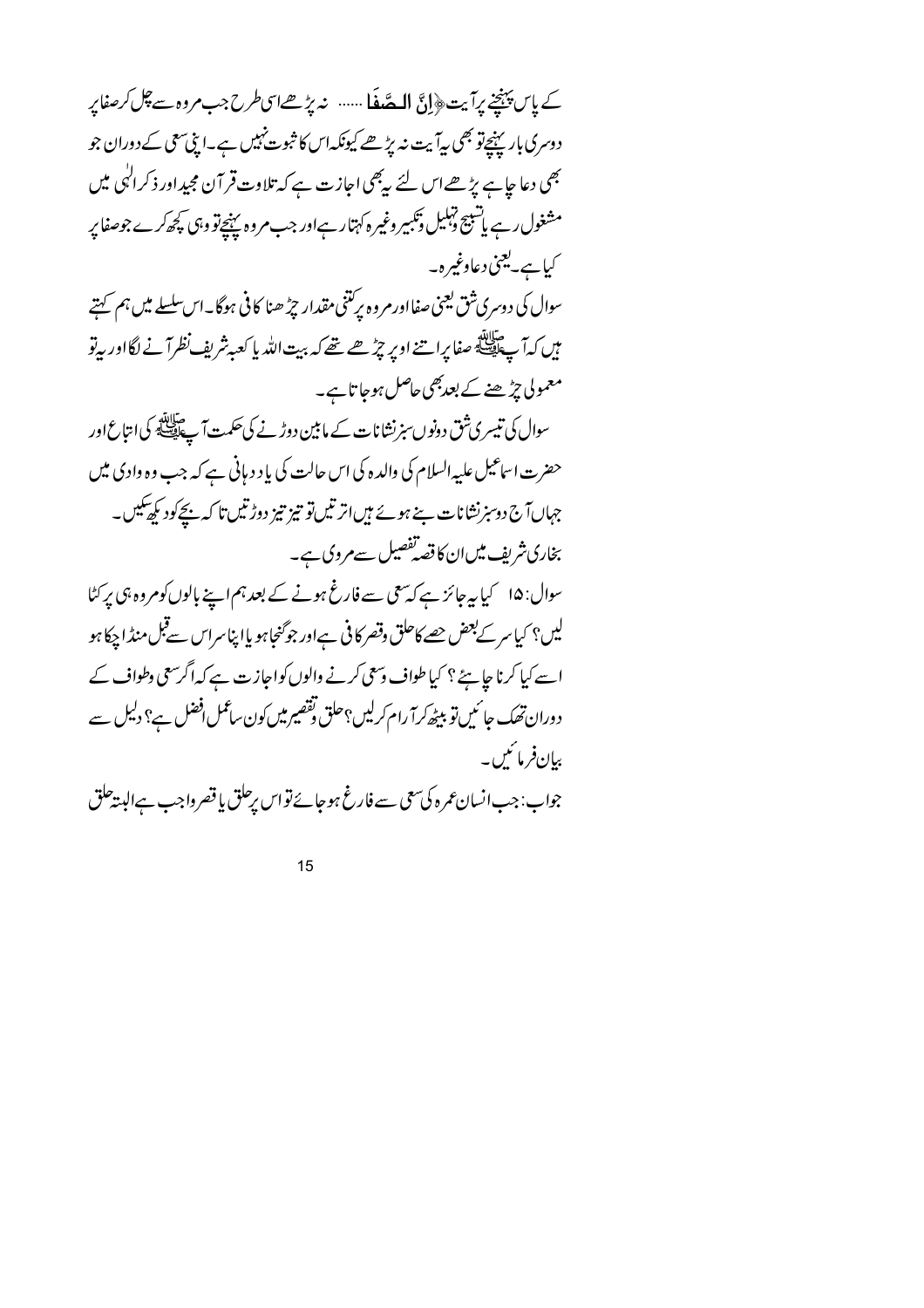کے پاس پہنچنے پرآیت﴿إِنَّ الْمَصَّفَا ...... نہ پڑھےاسیطرح جب مروہ سے چل کرصفاپر دوسری بار پہنچےتو بھی بیآ بیت نہ پڑھے کیونکہاس کا ثبوت نہیں ہے۔اپنی سمحی کے دوران جو بھی دعا ج<u>ا</u> ہے پڑھےاس لئے س<sup>ب</sup>ھی اجازت ہے کہ تلاوت قر آن مجیداور ذکر ا<sup>ل</sup>ٰہی میں مشغول رہے یا تنبیج تہلیل ڈنکیپر وغیرہ کہتار ہےاور جب مروہ پہنچےتو وہی کچھ کرے جوصفا پر کیا ہے۔یعنی دعاوغیرہ۔ سوال کی دوسری شق یعنی صفااور مروه برکتنی مقدار چڑ ھنا کافی ہوگا۔اس سلسلے میں ہم کہتے ہیں کہ آ چاہیئے صفا پراتنے اوپر چڑھے تھے کہ بیت اللہ پا کعبہ شریفِ نظرآ نے لگااور بہ تو معمولی چڑھنے کے بعدبھی حاصل ہوجا تاہے۔ سوال کی تیسری شق دونوں سنرنشا نات کے ما بین دوڑ نے کی حکمت آ چاہیے گا کیا امتاع اور حضرت اساعیل علیہ السلام کی والدہ کی اس حالت کی باد دیانی ہے کہ جب وہ وادی میں جہاںآ ج دوسز نشانات بنے ہوئے ہیں اتر تیں تو تیز تیز دوڑتیں تا کہ ن<del>چ</del> کود کر کھیکیں۔ بخاری شریف میں ان کا قصہ تفصیل سے مروی ہے۔ سوال: ۱۵ کیا ہہ جائز ہے کہ سمی سے فارغ ہونے کے بعد ہم اپنے بالوں کومروہ ہی پر کٹا لیں؟ کیا سر کے بعض حصے کاحلق وقصر کا فی ہےاور جو گنجا ہو یاا پناسراس سے قبل منڈ ا چکا ہو اسے کیا کرنا جا ہئے ؟ کیا طواف وسعی کرنے والوں کواجازت ہے کہ اگرسعی وطواف کے دوران تھک جا ئیں تو بیٹھ کرآ رام کرلیں؟حلق تقصیر میں کون ساعمل افضل ہے؟ دلیل سے بیانفرمائیں۔ جواب: جب انسان عمرہ کی سعی سے فارغ ہوجائے تو اس پرحلق یا قصر واجب ہےالبیتہ حلق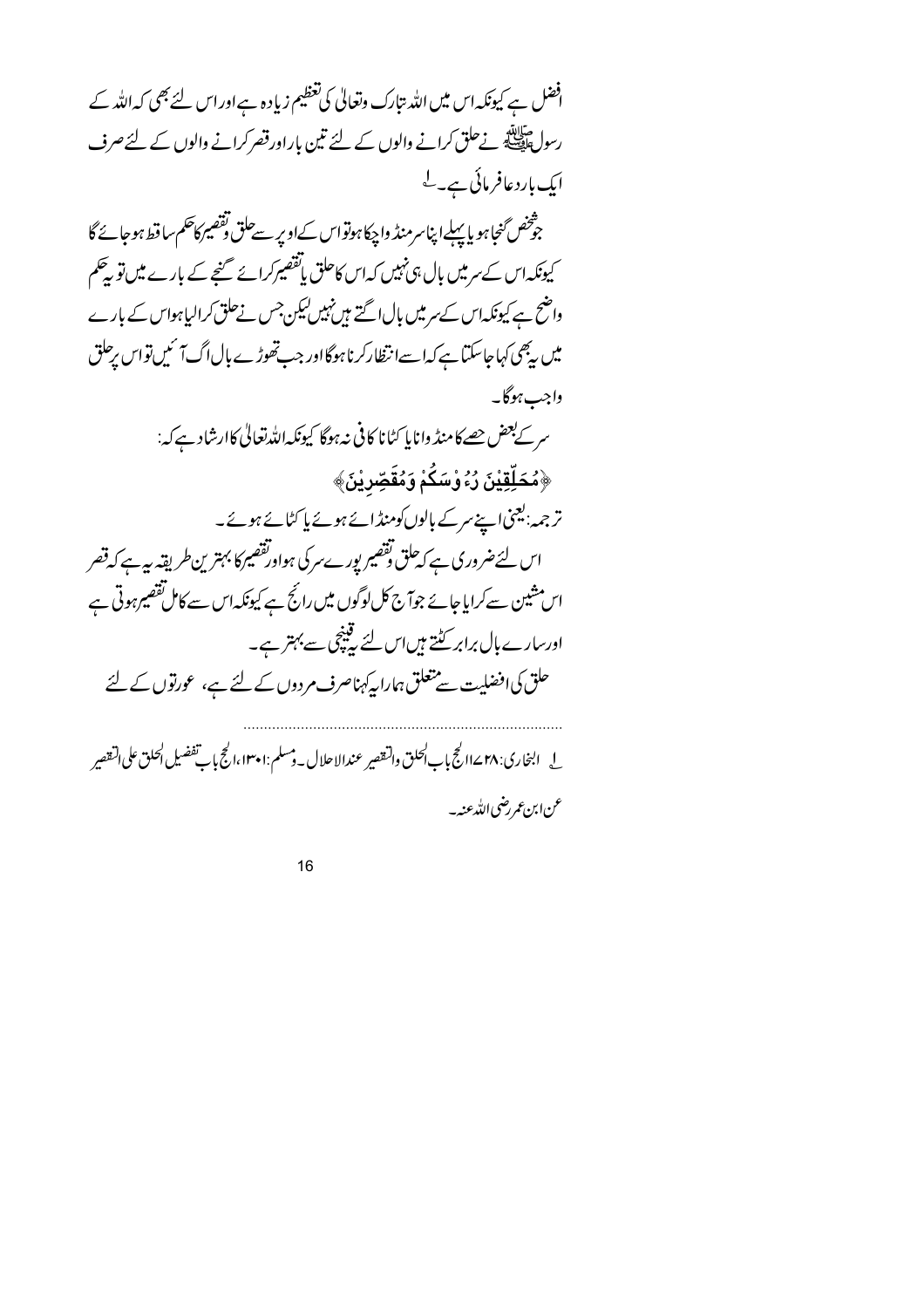| افضل ہے کیونکہ اس میں اللہ تبارک وتعالیٰ کی تعظیم زیادہ ہے اور اس لئے بھی کہ اللہ کے |
|--------------------------------------------------------------------------------------|
| رسولﷺ نےحلق کرانے والوں کے لئے تین باراورقصر کرانے والوں کے لئےصرف                   |
| ایک باردعافر مائی ہے۔ لے                                                             |
| جوّْخص ؒخاہو یا پہلےا پناسر منڈ واچکاہوتواس کےاوپر سےحلق تقصیر کاحکم ساقط ہوجائے گا  |
| کیونکہاس کے سرمیں بال ہی نہیں کہاس کاحلق یاتفصیرکرائے گنجے کے بارے میں تو پیٹکم      |
| واضح ہے کیونکہاس کے سرمیں بال اگتے ہیں نہیں لیکن جس نےحلق کرالیاہواس کے بارے         |
| میں یہ بھی کہاجاسکتا ہے کہا سےانتظارکر ناہوگااور جب تھوڑے بال اگ7 سمیں تواس پرحلق    |
| واجب ہوگا۔                                                                           |
| سر کے بعض حصے کا منڈ وانا پا کٹانا کافی نہ ہوگا کیونکہ اللہ تعالٰی کاارشاد ہے کہ:    |
| ﴿مُحَلِّقِيْنَ رُءُ وْسَكُمْ وَمُقَصِّرِيْنَ﴾                                        |
| تر جمہ: یعنی اپنے سرکے بالوں کومنڈ ائے ہوئے پا کٹائے ہوئے۔                           |
| اس لئےضروری ہے کہ حلق وتقصیر پورےسرکی ہواورتقصیرکا بہترین طریقہ ہیہ ہے کہ قصر        |
| اس مشین سے کرایا جائے جوآج کل لوگوں میں رائج ہے کیونکہاں سے کامل تقصیر ہوتی ہے       |
| اورسارے ہال برابر کٹتے ہیںاس لئے کیپنچی سے بہتر ہے۔                                  |
| حلق کی افضلیت سے متعلق ہمارا پہ کہناصرف مردوں کے لئے ہے، عورتوں کے لئے               |
|                                                                                      |
|                                                                                      |
| عن ابن عمر رضي الله عنه –                                                            |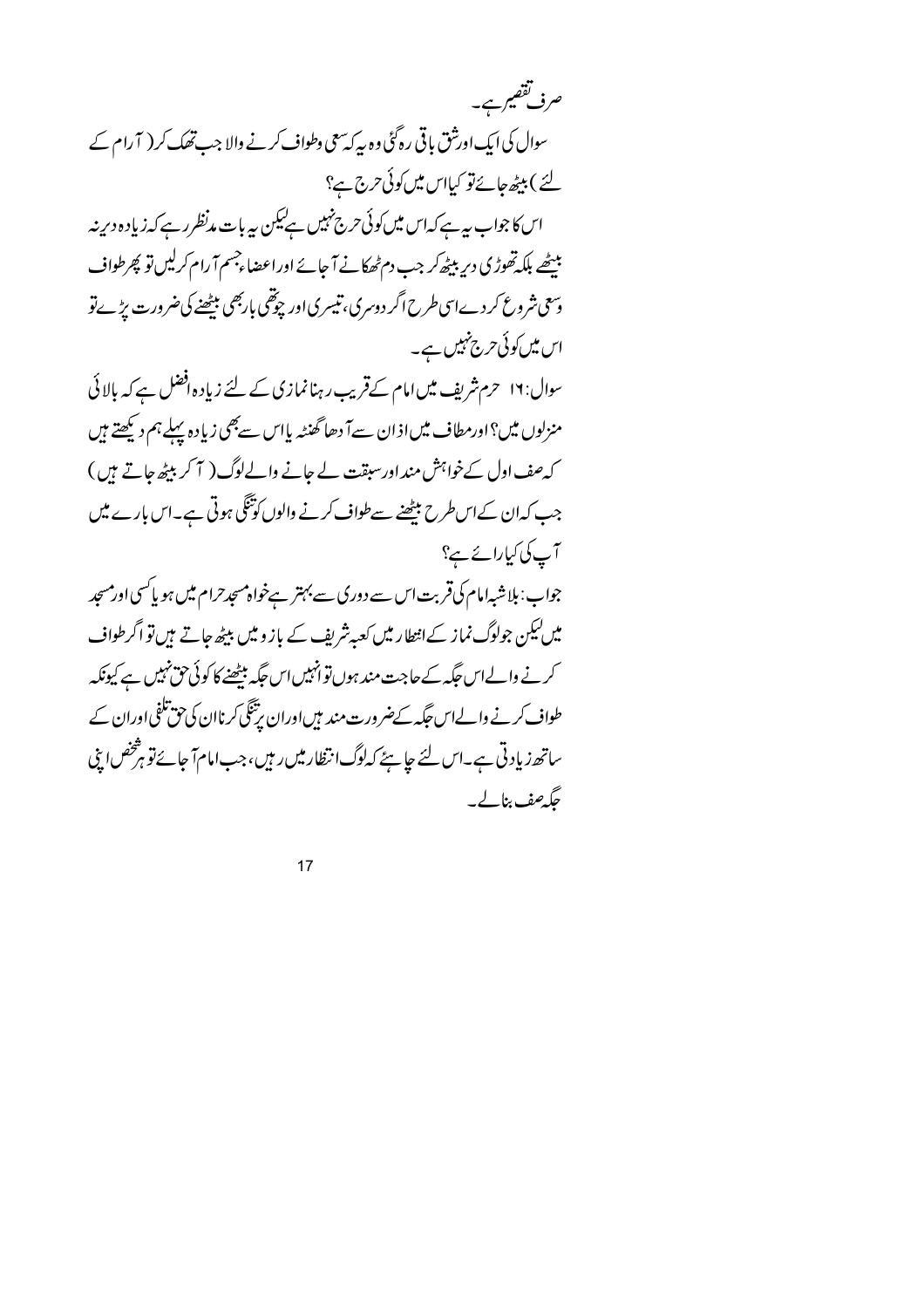| صرف تققیم ہے۔                                                                         |
|---------------------------------------------------------------------------------------|
| سوال کی ایک اورشق باقی رہ گئی وہ سے کہ سعی وطواف کرنے والا جب تھک کر ( آ رام کے       |
| لئے ) بیٹھ جائےتو کیااس میں کوئی حرج ج؟                                               |
| اس کا جواب ہیہ ہے کہ اس میں کوئی حرج نہیں ہے کیکن پیربات مدنظرر ہے کہ زیادہ دیرینہ    |
| ببیٹھے بلکہ تھوڑی دیر ببیٹھ کر جب دم ٹھکانے آ جائے اوراعضاءجسم آ رام کرلیں تو پھرطواف |
| وسعی شروع کردےاسی طرح اگر دوسری، تیسری اور چوتھی باربھی بیٹھنے کی ضرورت پڑےنو         |
| اس میں کوئی حرج تہیں ہے۔                                                              |
| سوال: ۱۲ حرم شریف میں امام کےقریب رہنا نمازی کے لئے زیادہ افضل ہے کہ بالائی           |
| منزلوں میں؟اورمطاف میںاذان سےآ دھا گھنٹہ پااس سےبھی زیادہ پہلے ہم دیکھتے ہیں          |
| کہ صف اول کے خواہش مند اور سبقت لے جانے والےلوگ( 7 کر بیٹھ جاتے ہیں )                 |
| جب کہان کےاس طرح بیٹھنے سےطواف کرنے والوں کوتنگی ہوتی ہے۔اس بارے میں                  |
| آپ کی کیارائے ہے؟                                                                     |

جواب: ہلاشبہامام کی قربت اس سے دوری سے بہتر ہےخواہ مسجدحرام میں ہو پاکسی اورمسجد میں کیکن جولوگ نماز کےانتطار میں کعبہ شریف کے باز و میں بیٹھ جاتے ہیں تو اگر طواف کرنے والےاس جگہ کے حاجت مند ہوں توانہیں اس جگہ مبیٹھنے کا کوئی حق نہیں ہے کیونکہ طواف کرنے والےاس *جگہ کےضر*ورت مند ہیںاوران پرتنگی کرناان کی حق تلفی اوران کے ساتھ زیادتی ہے۔اس لئے جاہئے کہ لوگ انتظار میں رہیں، جب امام آ جائے تو ہ<sup>فت</sup>خص اپنی جگەھف بنالے۔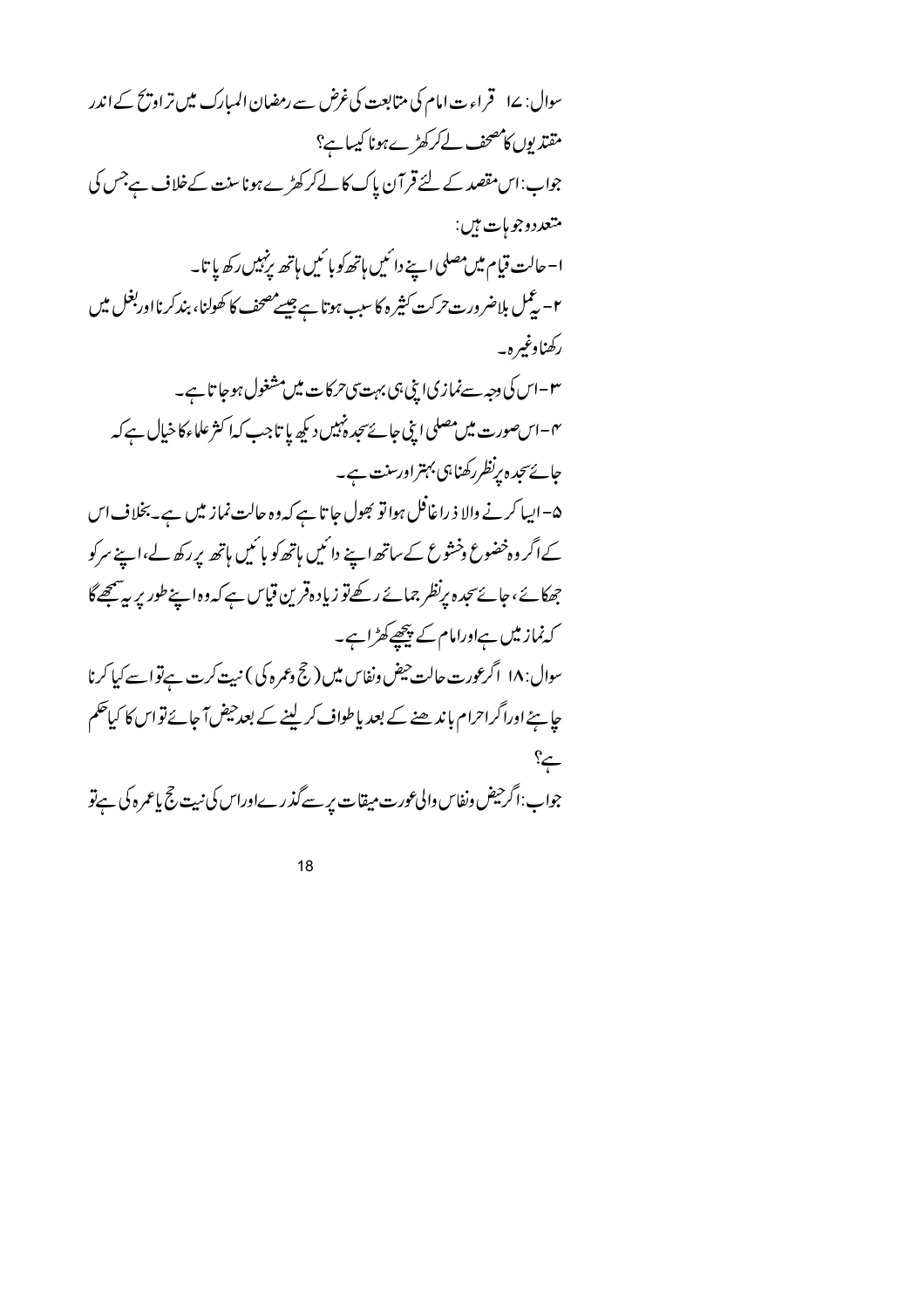| سوال: ۱۷ قراءت امام کی متابعت کی غرض سے رمضان المبارک میں تر او پخ کے اندر                                 |
|------------------------------------------------------------------------------------------------------------|
| مقت <sub>د</sub> یوں کامصحف لےکرکھڑے ہونا کیسا ہے؟                                                         |
| جواب:اس مقصد کے لئے قر آن پاک کا لے کرکھڑے ہونا سنت کےخلاف ہےجس کی                                         |
| متعددوجو ہات ہیں:                                                                                          |
| ا– حالت قيام ميں مصلى اپنے دائميں ہاتھ كو بائميں ہاتھ پ <sup>زم</sup> ييں ركھ پاتا۔                        |
| ۲- ٹیمل بلاضرورت حرکت کثیرہ کا سبب ہوتا ہے جیسے مصحف کا کھولنا، بندکر نااوربغل میں                         |
| ركھناوغيرہ۔                                                                                                |
| ۳-اس کی دجہ سےنماز کیا اپنی ہی بہت <sub>گا</sub> حرکات میں مشغول ہوجا تا ہے۔                               |
| ۴-اس صورت میں مصلی اپنی جائےسجدہ نہیں دیکھ پا تاجب کہا کثر علماءکا خیال ہے کہ                              |
| جائے سجد ہ پرنظر رکھنا ہی بہتر اورسنت ہے۔                                                                  |
| ھ– ایسا کرنے والا ذ را غافل ہوا تو بھول جا تا ہے کہ وہ حالت نماز میں ہے۔ بخلا ف اس                         |
| کےاگر وہ خضوع وخثوع کےساتھ اپنے دائمیں ہاتھ کو بائمیں ہاتھ پر رکھ لے،اپنے سرکو                             |
| جھکائے،جائےسجدہ پرنظر جمائے رکھےتو زیادہقرین قیاس ہے کہ دہ اپنے طور پر بہ پینچھےگا                         |
| کہ نماز میں ہےاورامام کے پیچھے کھڑاہے۔                                                                     |
| سوال: ۱۸ اگرعورت حالت حیض ونفاس میں ( حج وعمرہ کی ) نہیت کرت ہے تو اسے کیا کرنا                            |
| <i>چاہئے اوراگراحر</i> ام باندھنے کے بعد یاطواف <i>کر</i> لینے کے بعدحیض آجائے تواس کا کیا <sup>حک</sup> م |
| مج؟                                                                                                        |
| جواب:اگر حیض ونفاس والی عورت میقات پر سے گذرےاوراس کی نیت حج یاعمرہ کی ہےتو                                |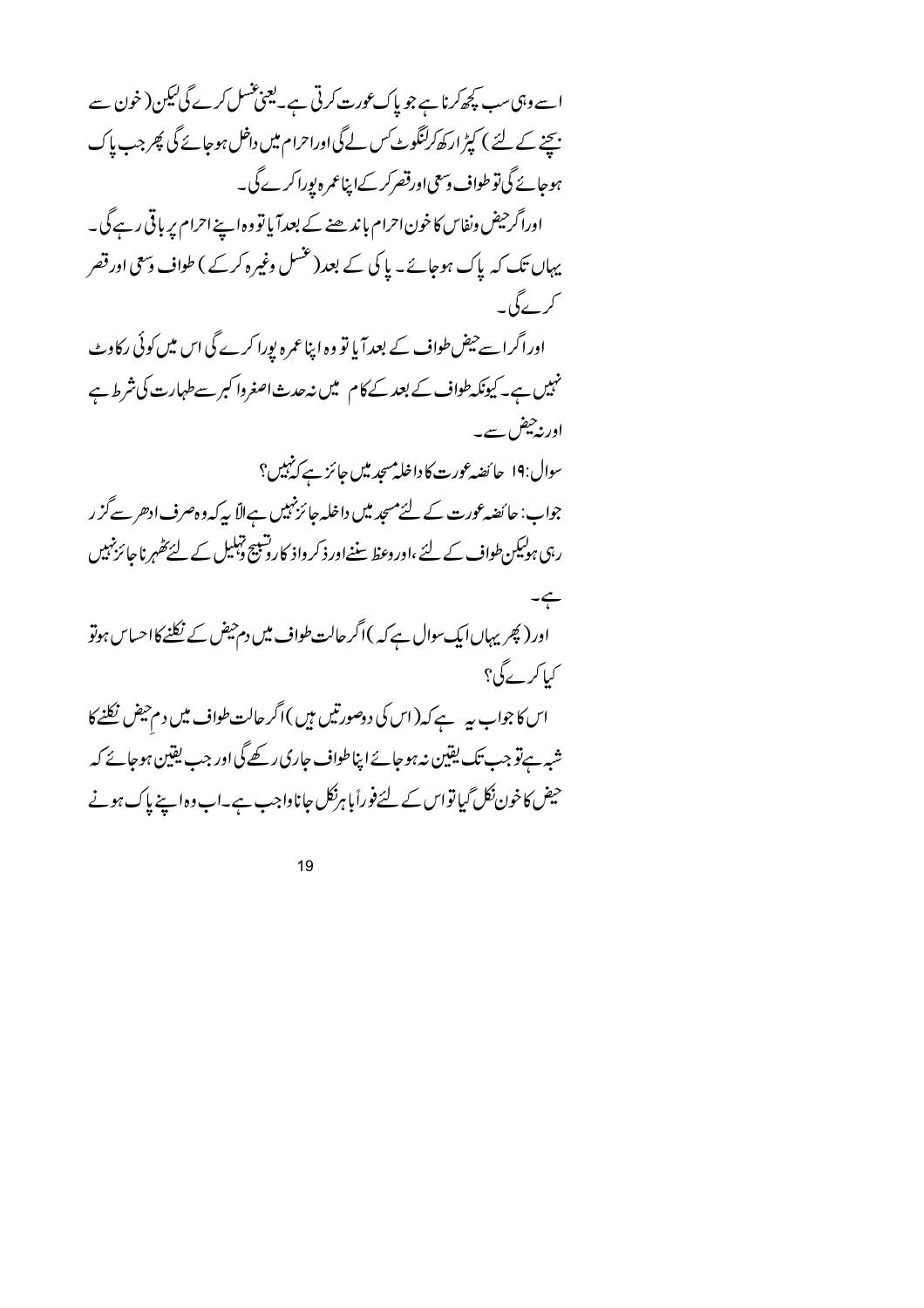اسے وہی سب کچھ کرنا ہے جو پاک عورت کرتی ہے۔لیجنجنسل کرے گی کیکن( خون سے <u>بیحنے کے لئے ) کپڑ ارکھ کرکنگوٹ کس لے گی اوراحرام میں داخل ہوجائے گی پھر جب پاک</u> ہوجائے گی تو طواف دسمی اورقصر کر کےاپناعمرہ پورا کرے گی۔ اوراگر حیض ونفاس کا خون احرام با ند ھنے کے بعد آیا تو وہ اپنے احرام پر باقی رہے گی۔ یہاں تک کہ پاک ہوجائے۔ پا کی کے بعد(عنسل وغیرہ کرکے ) طواف وسمی اورقصر کر کے گی۔ اوراگراسے حیض طواف کے بعدآ یا تو وہ اپنا عمرہ بورا کرے گی اس میں کوئی رکاوٹ نہیں ہے۔کیونکہ طواف کے بعد کے کام میں نہ حدث اصغروا کبر سے طہارت کی شرط ہے اورنہ چیفر، سے۔ سوال:19 حا ئضہ عورت کا داخلہ مسجد میں جائز ہے کہ پہل؟ جواب: جا ئضہ عورت کے لئے مسجد میں داخلہ جائز نہیں ہےالاّ یہ کہ و ہ صرف ادھر سے گز ر رہی ہولیکن طواف کے لئے ،اور وعظ سننےاور ذکر داذ کارونبیج ڈہلیل کے لئے تھٰہر ناجا ئزنہیں  $-\leftarrow$ اور (پھریہاں ایک سوال ہےکہ )اگر حالت طواف میں دم حیض کے نکلنے کا احساس ہوتو کیا کر پرگی؟ اس کا جواب ہیہ ہے کہ (اس کی دوصورتیں ہیں )اگر حالت طواف میں دم حیض نکلنے کا شبہ ہےتو جب تک یقین نہ ہوجائے اپناطواف جاری رکھے گی اور جب یقین ہوجائے کہ حیض کاخون نکل گیا تواس کے لئے فوراً باہرنکل جاناواجب ہے۔اب وہ اپنے پاک ہونے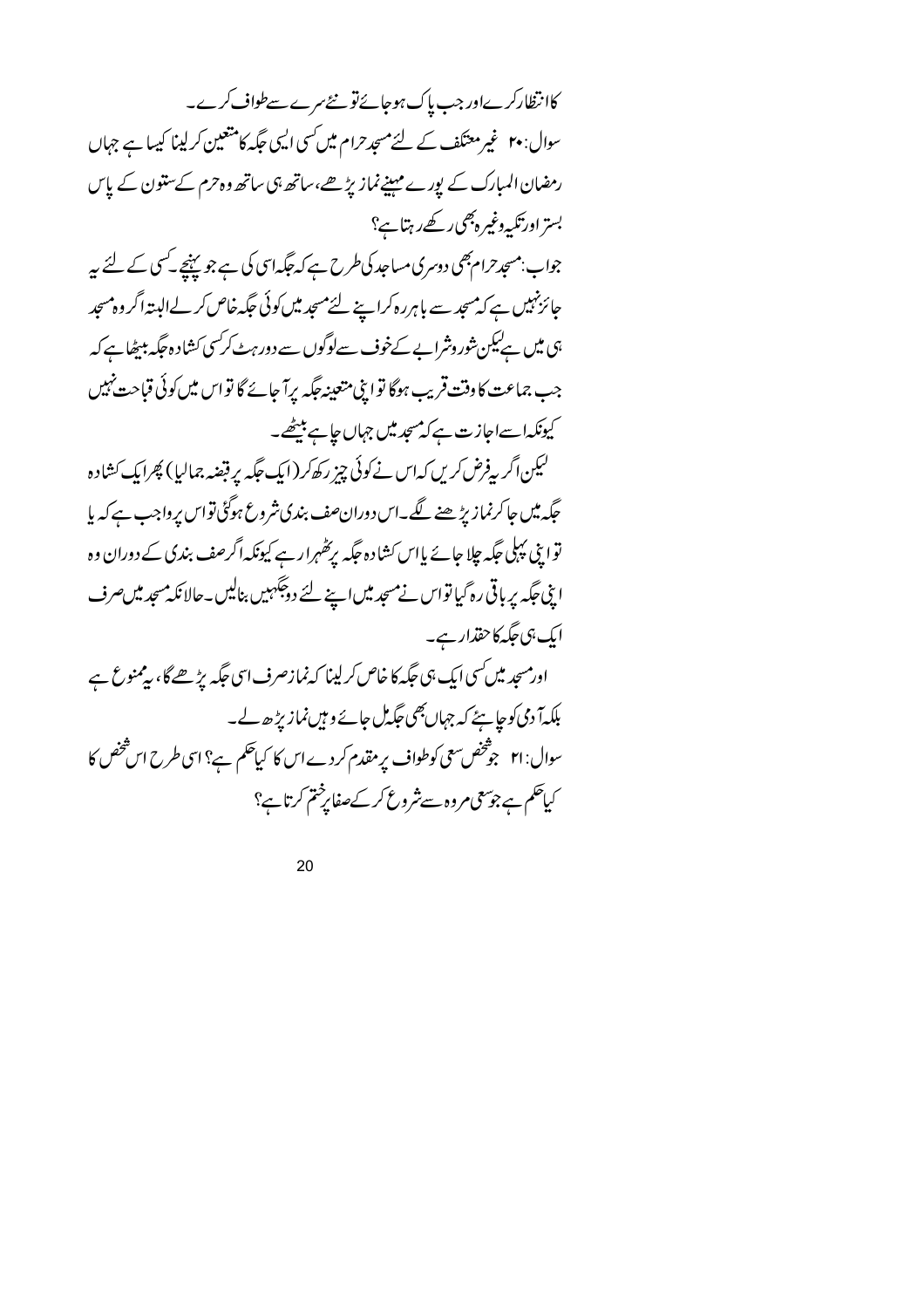کاانتظارکرےاور جب پاک ہوجائےتو نئے سرے سےطواف کرے۔ سوال: ۲۰ غیر معتکف کے لئے مسجدحرام میں کسی ایسی حَکہ کا متعیین کرلینا کیسا ہے جہاں رمضان المبارک کے پورے مہینےنماز پڑھے،ساتھ ہی ساتھ دہ حرم کےستون کے پاس بستر اورتکیہ دغیرہ بھی رکھے رہتاہے؟ جواب:مسجدحرام بھی دوسری مساجد کی طرح ہے کہ جگہ اسی کی ہے جو پہنچے کسی کے لئے ہیر جائزنہیں ہے کہ مںجد سے باہررہ کراپنے لئے مسجد میں کوئی جگہ خاص کر لے البتہ اگر وہ مسجد ہی میں ہےلیکن شوروشرایے کےخوف سےلوگوں سے دور ہٹے کرکسی کشادہ جگہ پہنچاہے کہ جب جماعت کا وقت قریب ہوگا توا پنی متعینہ جگہ پرآ جائے گا تو اس میں کوئی قباحت نہیں کیونکہاسےاجازت ہےکہ میں میں جہاں جاہے بیٹھے۔ لیکن اگر پیفرض کریں کہ اس نے کوئی چیز رکھ کر (ایک جگہ پر قبضہ جمالیا) پھرایک کشادہ حگیہ میں جاکرنماز بڑھنے گگے۔اس دوران صف بندی شروع ہوگئی تواس برواجب ہے کہ با توایِ پہلی جگہ جلا جائے پااس کشادہ جگہ برکھُہرارہے کیونکہ اگرصف بندی کے دوران وہ اپنی جگہ پر باقی رہ گیا تواس نے مسجد میں اپنے لئے دوجگہیں بنالیں۔حالانکہ مسجد میں صرف ایک ہی جگہ کاحقذار ہے۔ اورمسجد میں کسی ایک ہی جگہ کا خاص کر لینا کہ نمازصرف اسی جگہ پڑھے گا، بیمنوع ہے بلکہآ دی کوجا ہٹے کہ جہاں بھی جگہ مل جائے وہیں،نمازیڑھ لے۔ سوال: ۲۱ جوشخص سعی کوطواف پر مقدم کر دے اس کا کیاحکم ہے؟ اسی طرح اس شخص کا کیاحکم ہے جوسمی مروہ سے شروع کر کےصفا پرختم کرتا ہے؟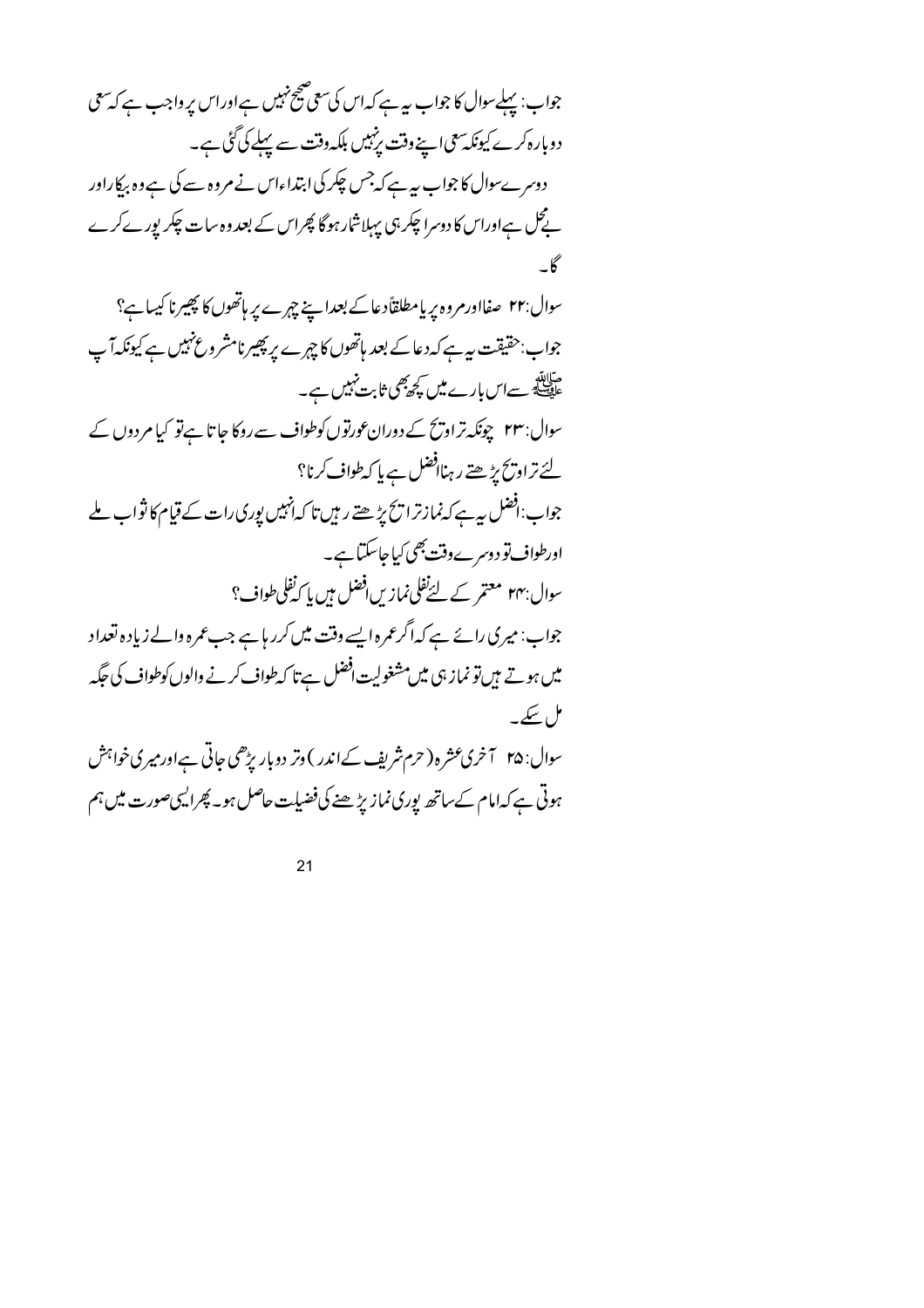جواب: پہلےسوال کا جواب ہیرہے کہ اس کی سعی صحیح نہیں ہے اور اس پر واجب ہے کہ سعی دوبارہ کرے کیونکہ سعی اپنے وقت پرنہیں بلکہ وقت سے پہلے کی گئی ہے۔ دوسرےسوال کا جواب ہیہ ہے کہ جس چکر کی ابتداءاس نے مروہ سے کی ہے وہ بہ کاراور پے گل ہےاوراس کا دوسرا چکر ہی پہلاشار ہوگا پھراس کے بعد وہ سات چکر پورے کرے سوال:۲۲ صفااورمروہ پر پامطلقاًدعاکے بعدایینے چہرے پر ہاتھوں کا پھیرنا کیسا ہے؟ جواب:حقیقت ہیہ ہے کہ دعا کے بعد ہاتھوں کا چہرے پر پھیرنامشر وغ نہیں ہے کیونکہ آپ میالاتھ<br>علیصلئے سےاس بارے میں کچھ بھی ثابت نہیں ہے۔ سوال:۲۳ چونکہ تر اورسمح کے دوران عورتوں کوطواف سے روکا جاتا ہے تو کیا مردوں کے لئے تراویح پڑھتے رہناافضل ہے پا کہ طواف کرنا؟ جواب:افضل ہیرہے کہ نمازترا تح پڑھتے ریپں تا کہانہیں پوری رات کے قیام کا ثواب ملے اورطواف تو دوسرے وقت بھی کیاجاسکتا ہے۔ سوال بہہ معتمر کے لئےنفلی نمازیں افضل ہیں پا کہ نفلی طواف؟ جواب: میری رائے ہے کہ اگر عمرہ ایسے وقت میں کرر ہاہے جب عمرہ والے زیادہ تعداد میں ہوتے ہیں تو نماز ہی میں مشغولیت افضل ہے تا کہ طواف کرنے والوں کوطواف کی جگہر مل سکے۔ سوال: ۲۵ آخری عشر ه ( حرم شریف کے اندر ) وتر دوبار بڑھی جاتی ہےاور میری خواہش ہوتی ہے کہامام کےساتھ یوری نمازیڑھنے کی فضیلت حاصل ہو۔ پھرالیہی صورت میں ہم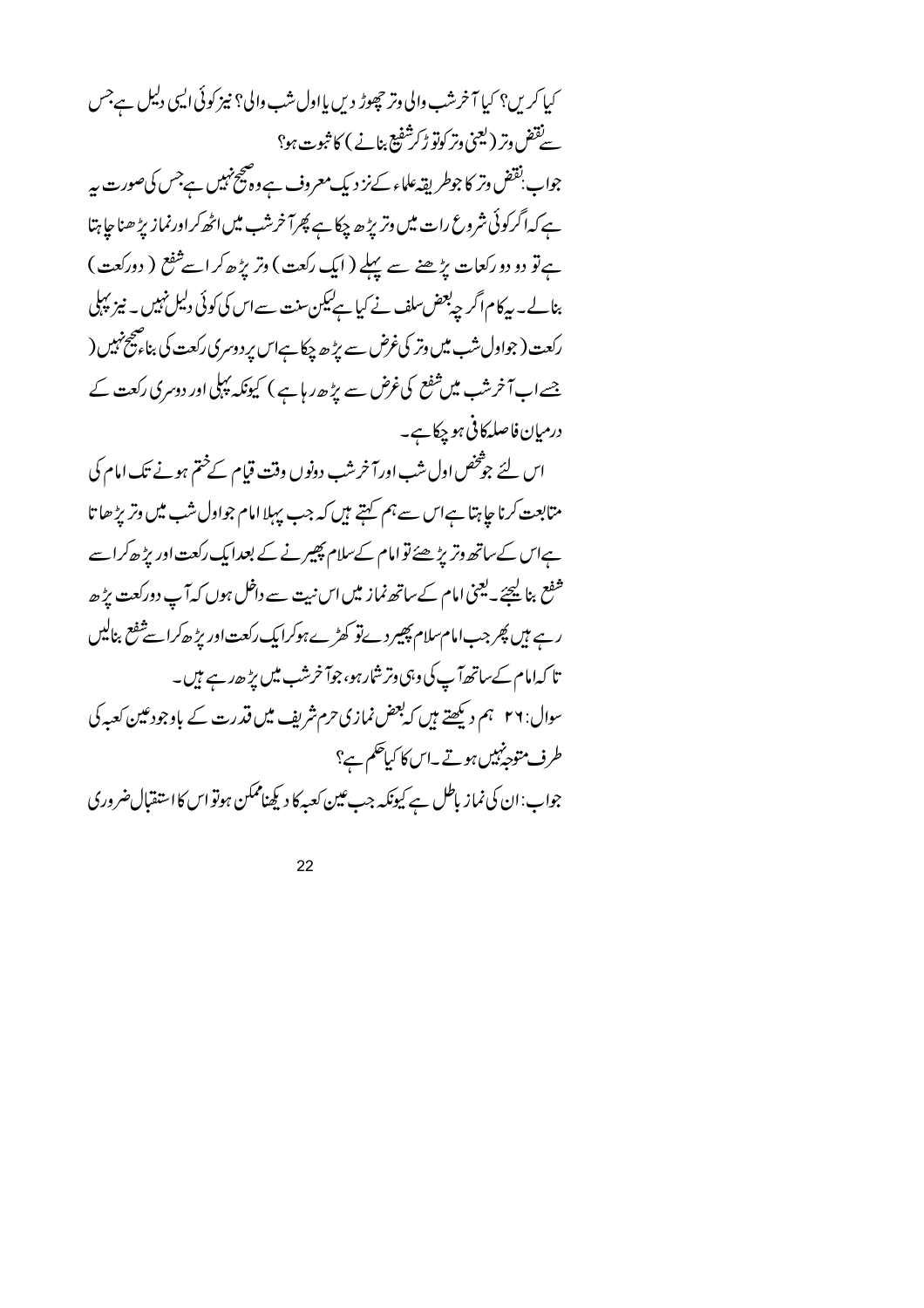کیا کریں؟ کیا آخرشب والی وتر چھوڑ دیں یااول شب والی؟ نیز کوئی ایپی دلیل ہےجس سےنقض وتر (لیمنی وتر کوتو ڑکرشفیع بنانے ) کا ثبوت ہو؟

جواب بقض وتر کا جوطر پقہ علماء کےنز دیک معروف ہے وہ صحیح نہیں ہے جس کی صورت ہیر ہے کہا گرکوئی شروع رات میں وتریڑ ھ چکاہے پھرآ خرشب میں اٹھ کراورنماز پڑ ھناجا ہتا ہے تو دو دو رکعات پڑھنے سے پہلے ( ایک رکعت ) وتر پڑھ کر اسے ثفع ( دورکعت ) بنالے۔ بیرکام اگر چی<sup>لو</sup>ض سلف نے کیا ہےلیکن سنت سے اس کی کوئی دلیل نہیں ۔ نیز پہلی رکعت ( جواول شب میں وتر کی غرض سے بڑ ھ چکا ہےاس برد وسری رکعت کی بنا ، صحیح نہیں ( جسے اب آ خرشب میں شفع کی غرض سے بڑ حدر ہا ہے ) کیونکہ پہلی اور دوسری رکعت کے درمیان فاصلہ کافی ہو چکاہے۔

اس لئے جوْتخص اول شب اور آخر شب دونوں وقت قیام کےختم ہونے تک امام کی متابعت کرنا جا ہتا ہےاس سے ہم کہتے ہیں کہ جب پہلا امام جواول شب میں وتریڑ ھا تا ہےاس کےساتھ وتریڑھئے تو امام کےسلام پھیرنے کے بعدایک رکعت اور بڑھ کراسے شفع بنا <u>لیح</u>جَے یعنی امام کےساتھ نماز میں اس نیت سے داخل ہوں کہ آپ دورکعت پڑھ رہے ہیں پھر جب امام سلام پھیر دیےتو کھڑےہوکرایک رکعت اور پڑھ کراسے شفع بنالیں تا کہ امام کےساتھ آپ کی وہی وتر شارہو، جوآ خرشب میں بڑ ھدے ہیں۔ سوال: ۲۶ ہم دیکھتے ہیں کہ بعض نمازی حرم شریف میں قدرت کے باوجودعین کعبہ کی طرف متوجه پیس ہوتے۔اس کا کیاحکم ہے؟ جواب:ان کی نماز باطل ہے کیونکہ جب عین کعبہ کا دیکھناممکن ہوتو اس کا استقبال ضروری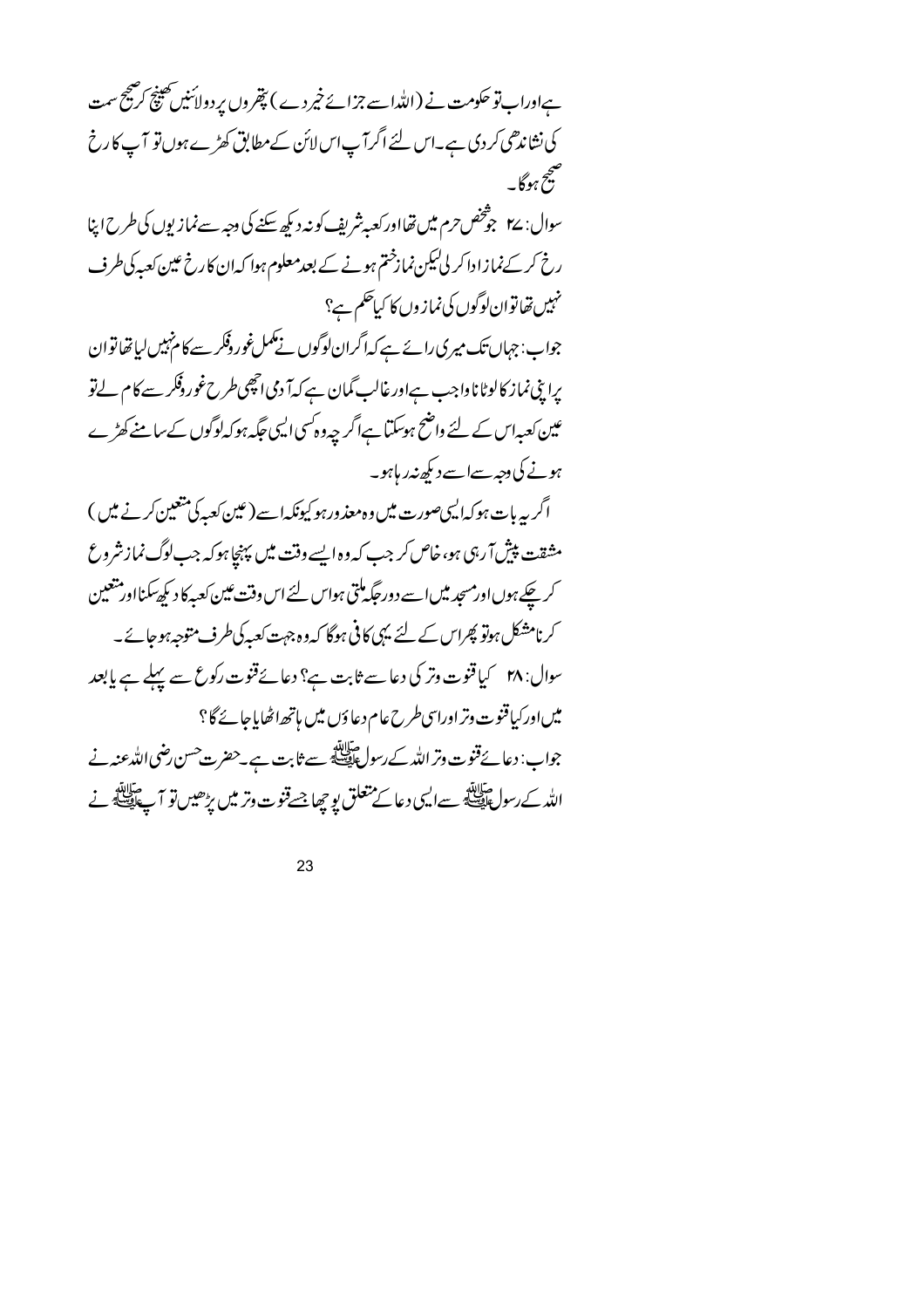ہےاوراب تو حکومت نے (اللہاسے جزائے خیر دے ) پتھروں پر دولائنیں تھینچ کر صحیح سمت کی نشاندھی کردی ہے۔اس لئے اگر آپ اس لائن کےمطابق کھڑے ہوں تو آپ کا رخ صح<br>پنج ہوگا ۔

سوال: ٢۷ جوشخص حرم میں تھااور کعبہ شریف کو نیہ دیکھ سکنے کی وجہ سے نمازیوں کی طرح اپنا رخ کر کے نمازادا کر لی کیکن نمازختم ہونے کے بعد معلوم ہوا کہ ان کارخ عین کعبہ کی طرف .<br>مہیں تھاتوان لوگوں کی نماز وں کا کیا حکم ہے؟ جواب: جہاں تک میر کی رائے ہے کہ اگران لوگوں نے مکمل غور وفکر سے کا م'ہیں لیاتھا توان یرا پنی نماز کالوٹاناواجب ہےاورغالب گمان ہے کہ آ دمی انچھی طرح غوروفکر سے کام لےتو عین کعبہاس کے لئے واضح ہوسکتا ہےاگر چہ وہ کسی الیمی جگہ ہوکہ لوگوں کے سامنے کھڑے ہونے کی دجہ سےاسے دیکھ نیدر ہاہو۔ اگر یہ ہات ہوکہ ایپیصورت میں وہ معذورہو کیونکہا سے (عین کعبہ کی متعین کرنے میں ) مشقت پیش آ رہی ہو،خاص کر جب کہ وہ ایسے وقت میں پہنچا ہوکہ جب لوگ نمازشروع کر چکے ہوں اورمسجد میں اسے دور جگہ ملتی ہواس لئے اس وقت عین کعبہ کا دیکھ سکنااور متعین

کرنامشکل ہوتو پھراس کے لئے یہی کافی ہوگا کہ وہ جہت کعبہ کی طرف متوجہ ہوجائے۔ میں اور کیا قنوت وتر اوراسی طرح عام دعاؤں میں ہاتھ اٹھایاجائے گا؟ جواب: دعائےقنوت وتر اللہ کے رسول ﷺ سے ثابت ہے۔حضرت حسن رضی اللہ عنہ نے الله کے رسول حالاتھ سے ایسی دعا کے متعلق یو چھا جسے قنوت وتر میں بڑھیں تو آ پے ایسے نے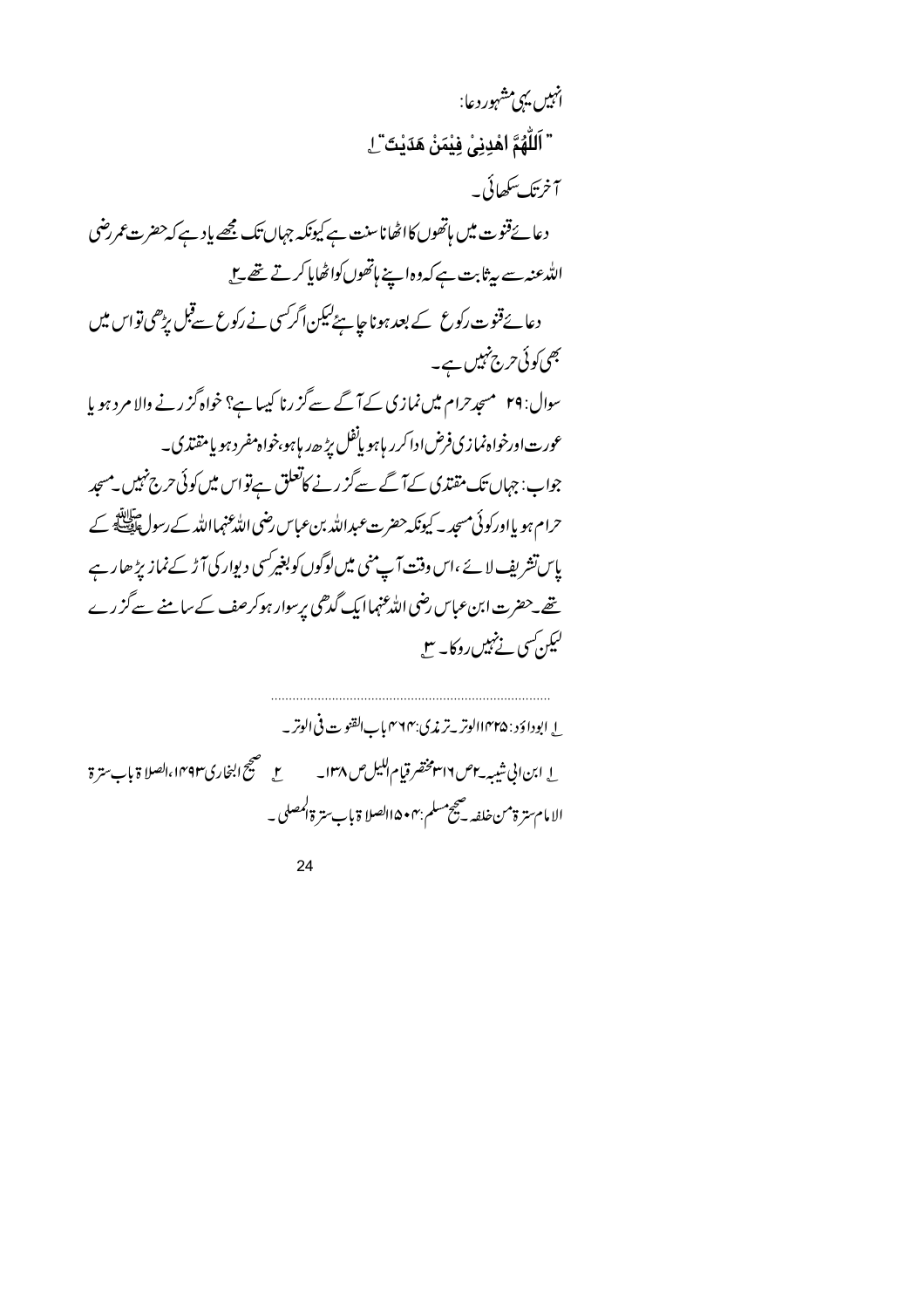$$
\begin{aligned}\n &\text{if } \mathcal{F}_1 \text{ and } \mathcal{F}_2 \text{ and } \mathcal{F}_3 \text{ are } \mathcal{F}_4 \text{ and } \mathcal{F}_5 \text{ are } \mathcal{F}_6 \text{ and } \mathcal{F}_7 \text{ are } \mathcal{F}_8 \text{ and } \mathcal{F}_9 \text{ are } \mathcal{F}_9 \text{ and } \mathcal{F}_1 \text{ and } \mathcal{F}_2 \text{ are } \mathcal{F}_4 \text{ and } \mathcal{F}_5 \text{ are } \mathcal{F}_6 \text{ and } \mathcal{F}_7 \text{ and } \mathcal{F}_8 \text{ are } \mathcal{F}_9 \text{ and } \mathcal{F}_9 \text{ are } \mathcal{F}_9 \text{ and } \mathcal{F}_9 \text{ are } \mathcal{F}_9 \text{ and } \mathcal{F}_9 \text{ are } \mathcal{F}_9 \text{ and } \mathcal{F}_9 \text{ and } \mathcal{F}_9 \text{ are } \mathcal{F}_9 \text{ and } \mathcal{F}_9 \text{ and } \mathcal{F}_9 \text{ are } \mathcal{F}_9 \text{ and } \mathcal{F}_9 \text{ and } \mathcal{F}_9 \text{ are } \mathcal{F}_9 \text{ and } \mathcal{F}_9 \text{ and } \mathcal{F}_9 \text{ are } \mathcal{F}_9 \text{ and } \mathcal{F}_9 \text{ and } \mathcal{F}_9 \text{ and } \mathcal{F}_9 \text{ and } \mathcal{F}_9 \text{ and } \mathcal{F}_9 \text{ and } \mathcal{F}_9 \text{ and } \mathcal{F}_9 \text{ and } \mathcal{F}_9 \text{ and } \mathcal{F}_9 \text{ and } \mathcal{F}_9 \text{ and } \mathcal{F}_9 \text{ and } \mathcal{F}_9 \text{ and } \mathcal{F}_9 \text{ and } \mathcal{F}_9 \text{ and } \mathcal{F}_9 \text{ and } \mathcal{F}_9 \text{ and } \mathcal{F}_9 \text{ and } \mathcal{F}_9 \text{ and } \mathcal{F}_9 \text{ and } \mathcal{F}_9 \text{ and } \mathcal{F}_9 \text{ and } \mathcal{F}_9 \text{ and } \mathcal{F}_9 \text{ and } \mathcal{F}_9 \text{ and } \mathcal{F}_9 \text{ and } \mathcal{F}_9 \text{ and } \mathcal
$$

ل ابوداؤد : ۱۴۳۵الوتر ـ تر ڼمري:۴۶۴ بابالقنو ت في الوتر \_ ل ابن الى شيبه باص ٣١٦ مخضر قيام الكيل ص ١٣٨ \_ لصحيح \_ صحيح البخاري١٣٩٣، الصلا ة باب سترة الامام سترة من خلفه -صحيح مسلم :۴ • ۱۵ الصلا ة باب سترة المصلى -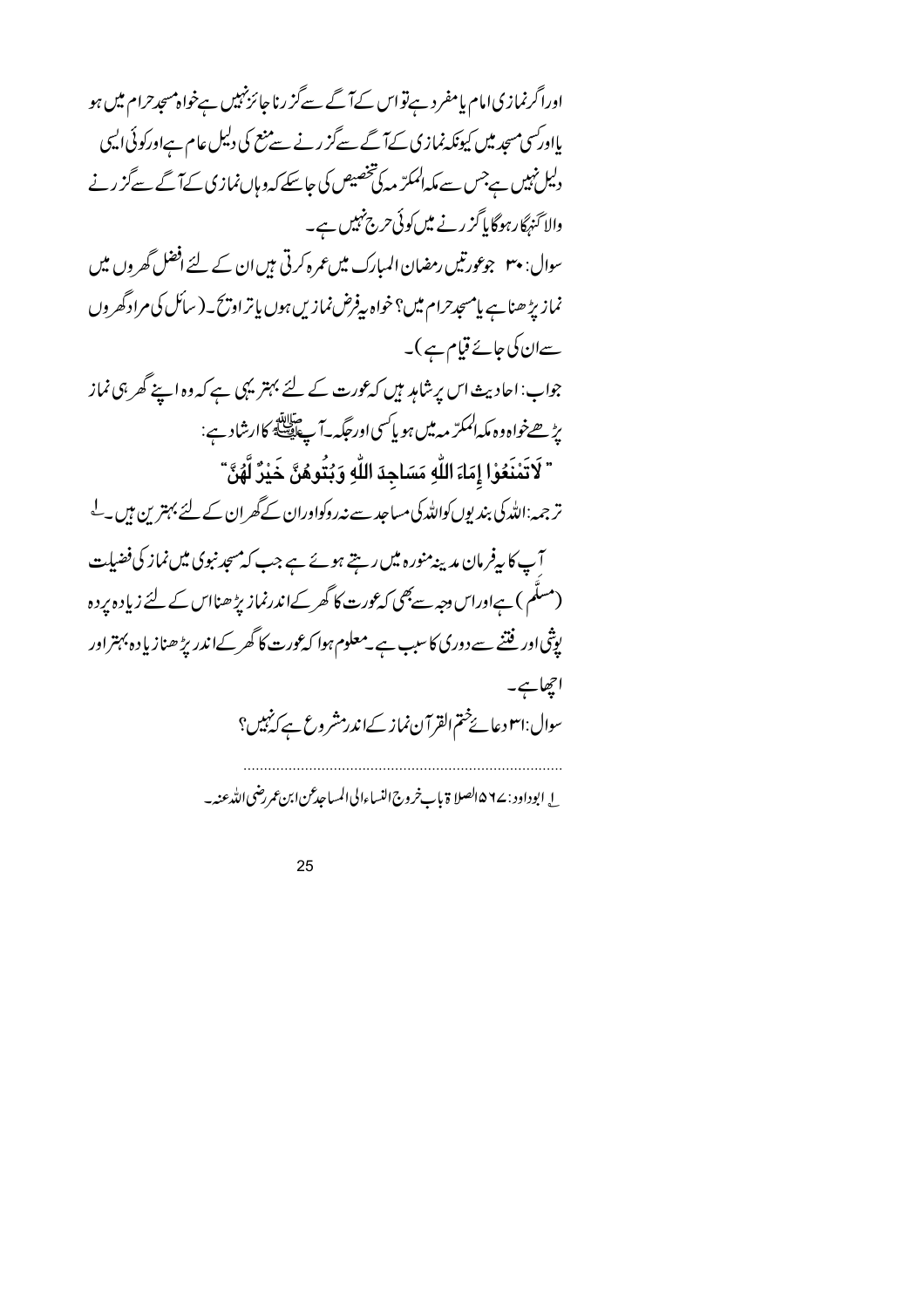اورا گرنمازی امام یامفرد ہےتواس کےآ گے سےگز رنا جائزنہیں ہےخواہ مسجدحرام میں ہو یااور سی مسجد میں کیونکہ نمازی کےآ گے سےگز رنے سے منع کی دلیل عام ہےاور کوئی ایسی دلیل نہیں ہےجس سے مکہ المکرّ مہ کی تخصیص کی جاسکے کہ وہاں نمازی کے آگے سےگز رنے والاکنہگارہوگایاگز رنے میں کوئی حرج نہیں ہے۔ سوال: ۳۰ جوعورتیں رمضان المبارک میں عمرہ کرتی ہیں ان کے لئے افضل گھر وں میں نماز پڑھناہے پامسجدحرام میں؟خواہ پیفرض نمازیں ہوں پاتر اویح۔( سائل کی مراد گھروں سےان کی جائے قیام ہے )۔ جواب:احادیث اس پر شامد ہیں کہ عورت کے لئے بہتر یہی ہے کہ وہ اپنے گھر ہی نماز بڑھےخواہ دہ مکہالمکرّ م**ہ می**ں ہو پاکسیاورحگیہ۔آپ ایسلج کاارشاد ہے: " لَاتَمْنَعُوْا إِمَاءَ اللَّهِ مَسَاجِدَ اللَّهِ وَبُتُوهُنَّ خَيْرٌ لَّهُنَّ " تر جمہ:اللّٰہ کی بندیوں کواللّٰہ کی مساجد سے نہ روکواوران کے گھران کے لئے بہترین ہیں۔ ل آپ کا پیفرمان مدینہ منورہ میں رہتے ہوئے ہے جب کہ مسجد نبوی میں نماز کی فضیلت (مسلَّم ) ہےاوراس دجہ سے بھی کہ عورت کا گھر کےاندرنماز بڑھنااس کے لئے زیادہ پردہ یوثی اور فتنے سے دوری کا سبب ہے۔معلوم ہوا کہ عورت کا گھر کےاندریڑ ھنازیادہ بہتر اور احجاجه سوال:ا٣وعائےُمتم القرآن نماز کےاندرمشروع ہےکہ نہیں؟ ل ابوداود : ٩٤ه الصلا ة باب خروج النساءالى المساجد عن ابن عمر رضي الله عنه -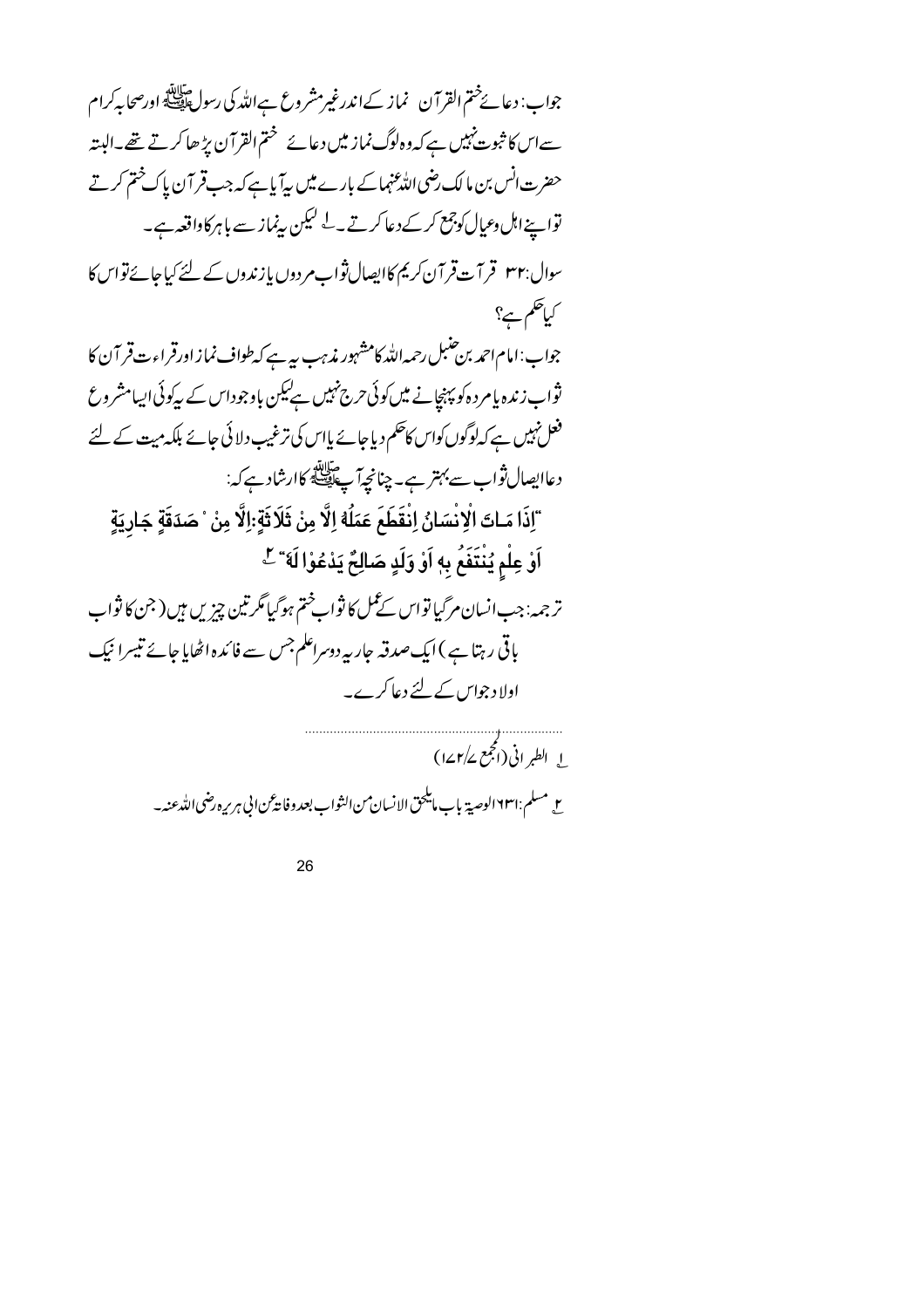سےاس کا ثبوت نہیں ہے کہ وہ لوگ نماز میں دعائے صحتم القرآن بڑھا کرتے تھے۔البتہ حضرت انس بن ما لک رضی اللهْ عنہماکے بارے میں بیآ پاہے کہ جب قرآن پاک ختم کرتے تواسيخ اہل وعيال كوجمع كر كے دعا كرتے ۔لے ليكن بينماز سے باہر كاواقعہ ہے۔ سوال:۳۲ قرآت قر آن کریم کاایصال ثواب مردوں یا زندوں کے لئے کیاجائے تواس کا کیاتھم ہے؟ جواب: امام احمد بن حنبل رحمہ اللہ کامشہور مذہب ہے کے سرطواف نماز اورقراءت قر آ ن کا ثواب زندہ یا مر دہ کو پہنچانے میں کوئی حرج نہیں ہےلیکن باوجوداس کے بیرکوئی ایپامشروع فعل نہیں ہے کہ لوگوں کواس کاحکم دیاجائے پااس کی ترغیب دلائی جائے بلکہ میت کے لئے دعاايصال ثواب سے بہتر ہے۔ چنانچہآ پے ایسے کاارشاد ہے کہ: "إِذَا مَـاتَ الْإِنْسَانُ اِنْقَطَعَ عَمَلُهُ إِلَّا مِنْ ثَلَاثَةٍ:إِلَّا مِنْ ۚ صَدَقَةٍ جَارِيَةٍ اَوْ عِلْمٍ يُنْتَفَعُ بِهِ اَوْ وَلَدٍ صَالِحٌ يَدْعُوْا لَهَ ۚ لِّ ترجمہ: جب انسان مرگیا تواس کے عمل کا ثوابِختم ہوگیا مگر تین چیزیں ہیں ( جن کا ثواب باقی رہتا ہے )ایک صدقہ جار بیردوسراعلم جس سے فائدہ اٹھایا جائے تیسرا نیک اولاد جوایں کے لئے دعا کرے۔ ا الطير اني (انجمع ١٤٢/٤) مع مسلم:١٦٣١الوصية باب مايلحق الانسان من الثواب بعد وفاية عن الى هربره رضي الله عنه -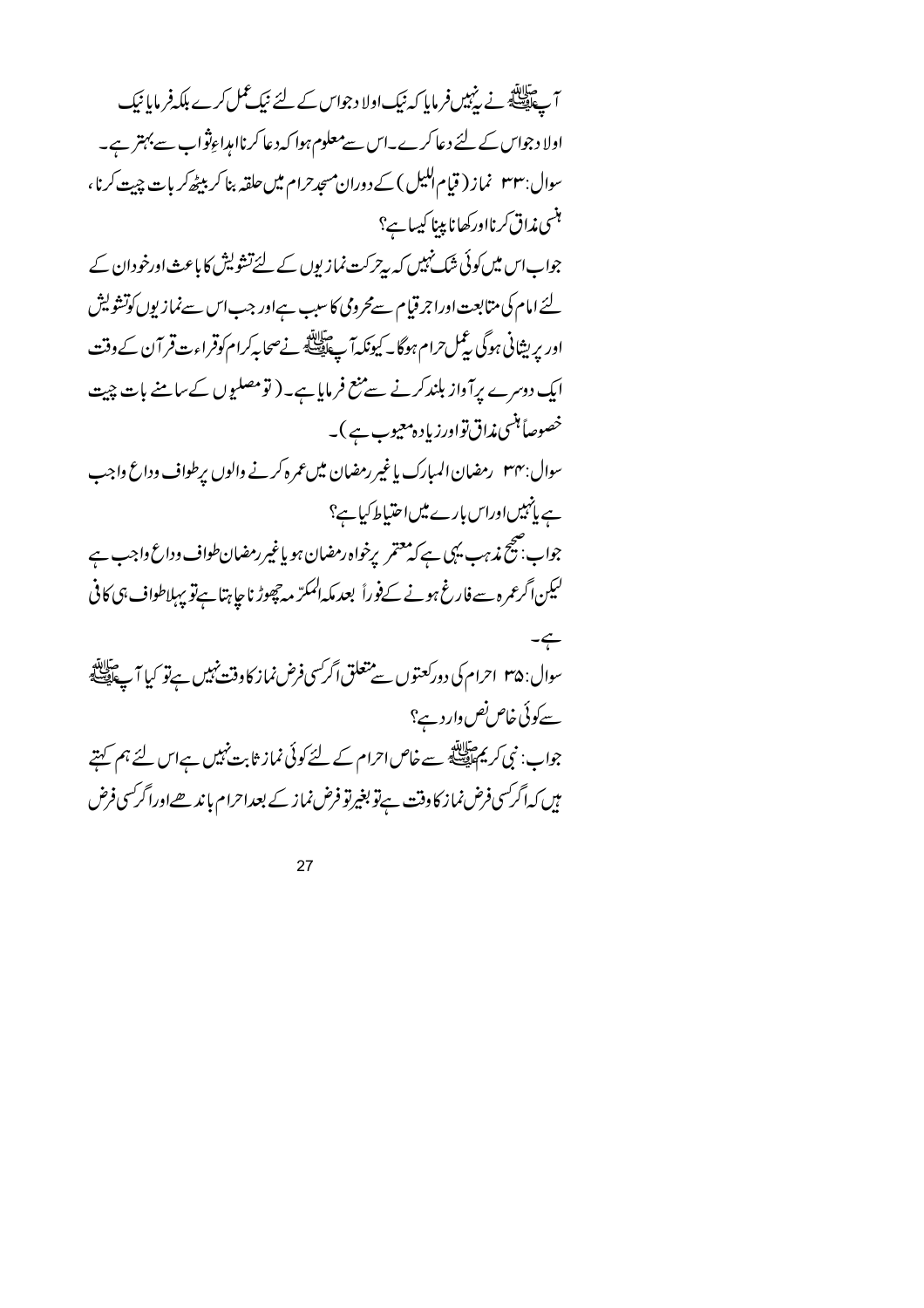آ ﷺ نے رہبیںفر مایا کہ نیک اولا دجواس کے لئے نیک عمل کرے ہلکہ فر مایا نیک اولا د جواس کے لئے دعا کرے۔اس سے معلوم ہوا کہ دعا کرناامداءِثواب سے بہتر ہے۔ سوال: ۳۳ نماز ( قیام اللیل ) کے دوران مسجد حرام میں حلقہ بنا کر بیٹھ کر بات چیت کرنا، ہنسی مذاق کرنااورکھانا پینا کیسا ہے؟ جواب اس میں کوئی شک نہیں کہ پیر کت نمازیوں کے لئے تشویش کا باعث اورخودان کے لئے امام کی متابعت اوراجر قیام سےمحرومی کا سبب ہےاور جب اس سےنمازیوں کوتشویش اور پریشانی ہوگی بٹمل حرام ہوگا۔ کیونکہ آ پے ایک نے صحابہ کرام کوقر اءت قر آن کے وقت ایک دوسرے پرآواز بلندکرنے سے منع فرمایا ہے۔ ( تومصلیوں کےسامنے بات چیت خصوصاً ہٹسی مذاق تواورزیادہ معیوب ہے )۔ سوال:۳۴ \_رمضان المبارك بإغير رمضان ميں عمر ہ كرنے والوں برطواف وداع واجب ہے پانہیںاوراس بارے میں احتیاط کیاہے؟ جواب بھیج مذہب یہی ہے کہ معتمر یرخواہ رمضان ہو یاغیر رمضان طواف وداع داجب ہے لیکن اگر عمرہ سے فارغ ہونے کےفوراً بعد مکہ المکرّ مہ چھوڑ ناجا ہتا ہےتو یہااطواف ہی کافی  $-\leftarrow$ سوال: ۳۵ احرام کی دورکعتوں سے متعلق اگر سی فرض نماز کا وقت نہیں ہےتو کیا آ پے اپنے سے کوئی خاص نص وار د ہے؟ جواب: نبی کریم سائی ہے۔ خاص احرام کے لئے کوئی نماز ثابت نہیں ہے اس لئے ہم کہتے میں کہ اگر <sup>س</sup>ی فرض نماز کا دفت ہےتو بغیرتو فرض نماز کے بعداحرام باند <u>ھے</u>اورا گر سی فرض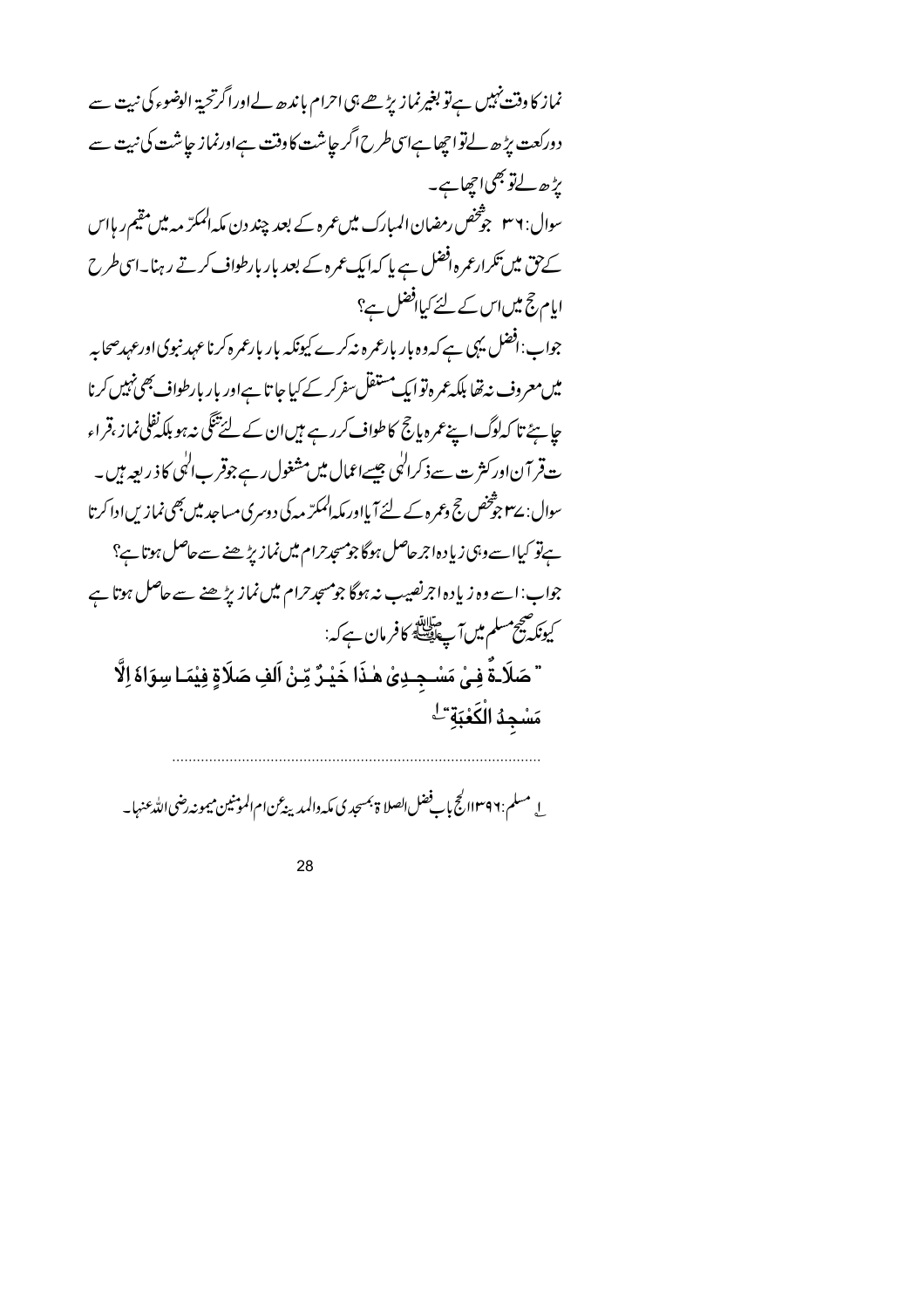نماز کا وقت نہیں ہےتو بغیرنماز پڑھے ہی احرام با ندھ لےاوراگر تحیۃ الوضوء کی نبیت سے دورکعت پڑھ لےتواجھا ہےاسی طرح اگر جاشت کاوقت ہےاورنماز جاشت کی نیت سے بڑھ لےتو بھی اچھاہے۔ سوال: ۳۶ جو شخص رمضان المبارك میں عمرہ کے بعد چند دن مکہ الممکرّ مہ میں مقیم ر ہااس کے پق میں تکرارعمرہ افضل ہے پا کہ ایک عمرہ کے بعد بار بارطواف کرتے رہنا۔اسی طرح ایام حج میں اس کے لئے کیاافضل ہے؟ جواب: افضل یہی ہے کہ وہ بار بارعمرہ نہ کرے کیونکہ بار بارعمرہ کرنا عہد نبوی اورعہدصحابہ میں معروف نہ تھا بلکہ عمرہ توایک مستقل سفرکر کے کیا جا تا ہےاور بار بارطواف بھی نہیں کرنا چاہئے تا کہ لوگ اپنے عمرہ پانچ کا طواف کررہے ہیں ان کے لئے تکگی نہ ہو بلکہ نفلی نماز ،قراء ت قر آن اور کثر ت سے ذکرا<sup>ل</sup>ی جیسےاعمال میں مشغول رہے جوقر ب<sup>ال</sup>لی کا ذ ریعہ ہیں۔ سوال: سے جوشخص حج وعمرہ کے لئے آیااور مکہ الممکرّ مہ کی دوسری مساحید میں بھی نمازیں ادا کرتا ہےتو کیاا سے وہی زیادہ اجرحاصل ہوگا جو مسجدحرام میں نماز بڑھنے سے حاصل ہوتا ہے؟ جواب:اسے وہ زیادہ اجرنصیب نہ ہوگا جومسجدحرام میں نماز پڑھنے سے حاصل ہوتا ہے کیونکہ صحیح مسلم میں آپ اللہ کافر مان ہے کہ:<br>کیونکہ سیح مسلم میں آپ ایک کافر مان ہے کہ: " صَلَاـةٌ فِـىٰ مَسْـجِــدِىٰ هٰـذَا خَيْـرٌ مِّـنْ اَلفِ صَلَاةٍ فِيْمَـا سِوَاهَ اِلَّا مَسْجِدُ الْكَعْبَةِ ۖ

ل مسلم:١٣٩٦/ كجج بإب فضل الصلا ة بمسجد ي مكه دالمدينه عن ام الموثنين ميمونه رضي الله عنها –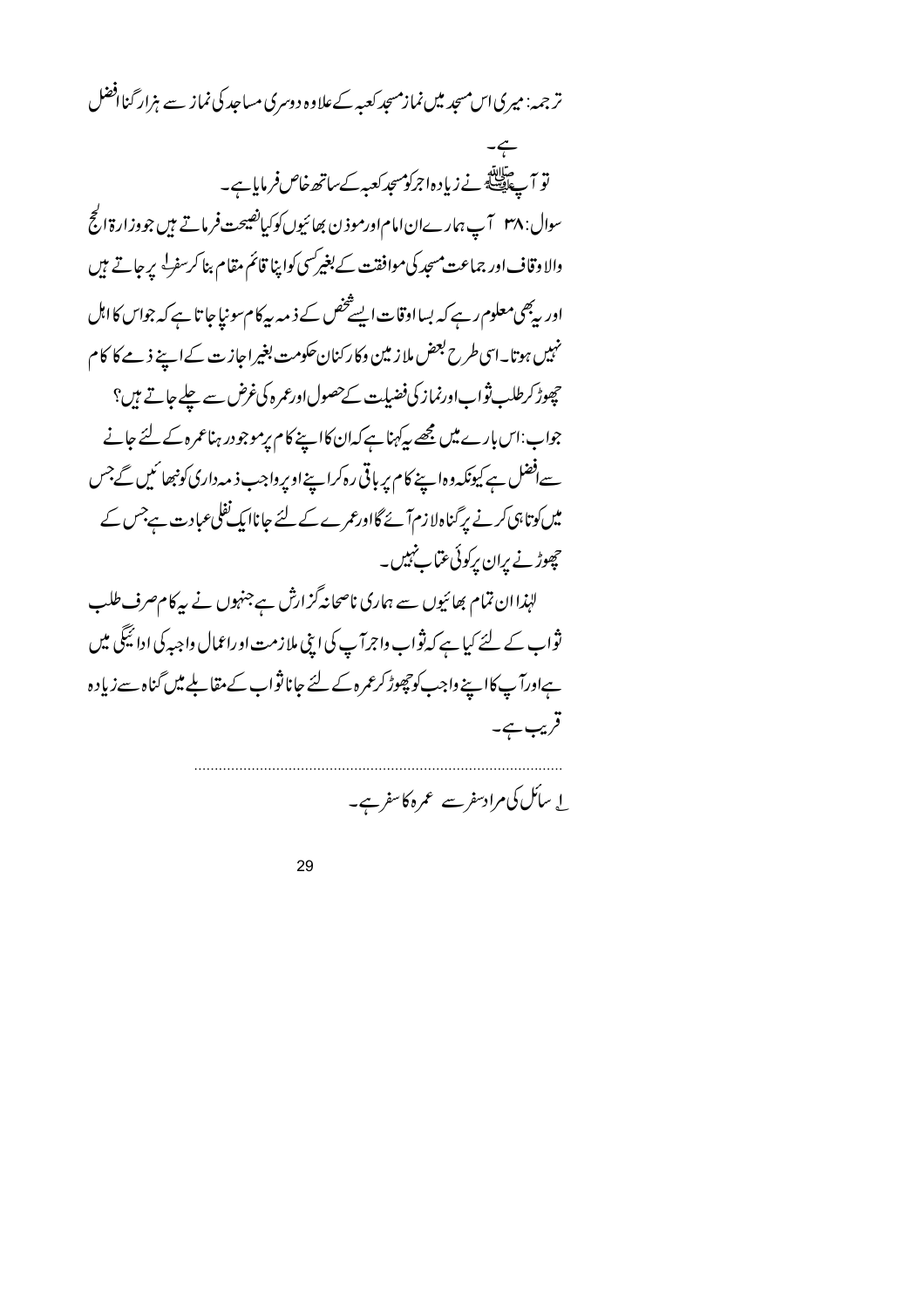تر جمہ: میری اس مسجد میں نمازمسجد کعبہ کے علاوہ دوسری مساجد کی نماز سے ہزار گناافضل

تو ہ<br>تو آۓ پہلے نے زیادہاجرکومسجد کعبہ کے ساتھ خاص فرمایا ہے۔ سوال: ۳۸ آپ ہمارےان امام اورموذن بھائیوں کوکیانفیجت فرماتے ہیں جووز ارۃ الحج والا وقاف اور جماعت مسجد کی موافقت کے بغیرکسی کواپنا قائم مقام بنا کرسف<sup>ل</sup> پر جاتے ہیں اور بەھىمعلوم رہے كہ بسااوقات ايسے څنص كے ذ مەبيەكام سونیاجا تا ہے كہ جواس كا اہل نہیں ہوتا۔اسی طرح بعض ملاز مین وکارکنان حکومت بغیراجازت کےاپنے ذمے کا کام چھوڑ کرطلب ثواب اورنماز کی فضیات کےحصول اورعمرہ کی *غرض سے* چلے جاتے ہیں؟ جواب:اس بارے میں مجھے پہ کہنا ہے کہان کااپنے کام پرموجودر ہناعمرہ کے لئے جانے سےافضل ہے کیونکہ وہا پنے کام پر باقی رہ کراپنے اوپرواجب ذیمہ داری کونبھا ئیں گے جس میں کوتا ہی کرنے پر گناہ لا زم آئے گااورعمرے کے لئے جاناا بک نفلی عبادت ہےجس کے چھوڑنے پران پرکوئی عتماب نہیں۔ لہٰذاان تمام بھائیوں سے ہماری ناصحانہ گزارش ہےجنہوں نے بیرکام صرف طلب ثواب کے لئے کیا ہے کہ ثواب واجرآ پ کی اپنی ملازمت اوراعمال واجہ کی ادائیگی میں ہےاورآپ کااپنے واجب کوچھوڑ کرعمرہ کے لئے جانا ثواب کے مقابلے میں گناہ سے زیادہ قریب ہے۔

ل سائل کی مرادسفر سے عمرہ کاسفر ہے۔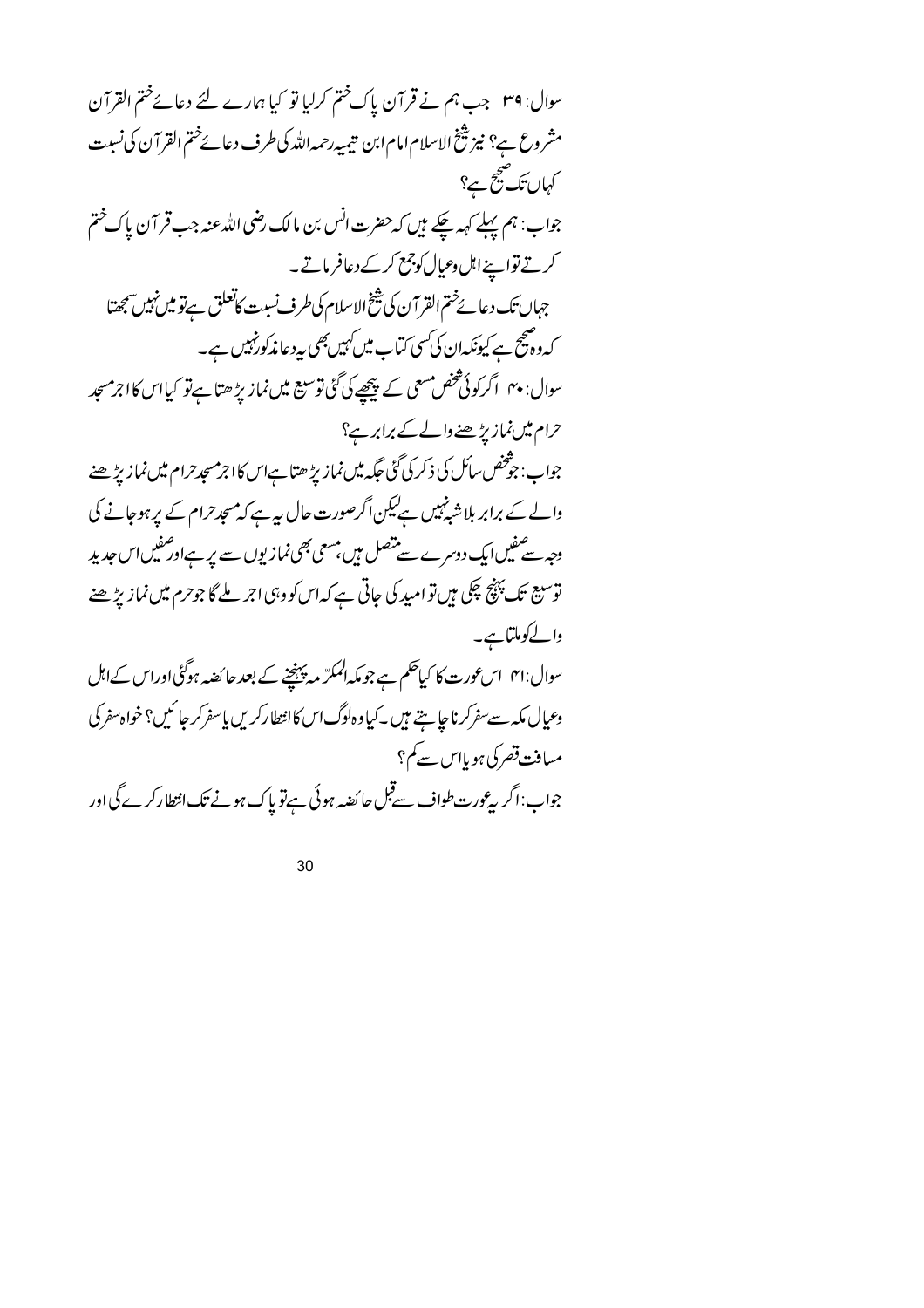سوال: ٣٩ جب ہم نے قر آن پاک ختم کرلیا تو کیا ہمارے لئے دعائےختم القر آن مشروع ہے؟ نیز شخ الاسلام امام ابن تیمیہ رحمہ اللہ کی طرف دعائےختم القرآن کی نسبت کہاں تک صحیح ہے؟ جواب: ہم پہلے کہہ چکے ہیں کہ حضرت انس بن مالک رضی اللہ عنہ جب قر آن پاک ختم کرتے تواسینےاہل وعیال کوجمع کرکے دعافر ماتے۔ جہاں تک دعائے ختم القرآن کی شیخ الاسلام کی طرف نسبت کاتعلق ہےتو میں نہیں سمجھتا کہ وہیج ہے کیونکہان کی سی کتاب میں کہیں بھی پہ دعامذ کورنہیں ہے۔ سوال: ۴۰ اگر کوئی شخص مسعی کے پیچھے کی گئی توسیع میں نماز پڑ ھتا ہے تو کیااس کااجرمسجد حرام میں نمازیڑھنے والے کے برابر ہے؟ جواب: جوْخص سائل کی ذکر کی گُنی جگہ میں نمازیڑ ھتا ہےاس کااجرمسجدحرام میں نمازیڑ ھنے والے کے برابر بلا شپز ہیں ہےلیکن اگرصورت حال ہیہ ہے کہ مسجد حرام کے پر ہوجانے کی وجہ سے صفیں ایک دوسرے سے متصل ہیں، مسعی بھی نمازیوں سے پر ہےاور صفیں اس جدید توسیع تک پہنچ چکی ہیں تو امید کی جاتی ہے کہ اس کووہی اجر ملے گا جوحرم میں نمازیڑ ھنے والےکوملتاہے۔ سوال:۴۱ اسعورت کا کیاحکم ہے جومکہ المکرّ مہ پہنچنے کے بعد جا ئصہ ہوگئی اوراس کےاہل وعيال مكه سے سفركرنا چاہتے ہيں ۔كياوہ لوگ اس كاانتطاركريں يا سفركر جائميں؟ خواہ سفر كى مسافت قصر کی ہو پااس سے کم؟ جواب:اگر بیرعورت طواف سےقبل حائضہ ہوئی ہےتو پاک ہونے تک انتطارکرے گی اور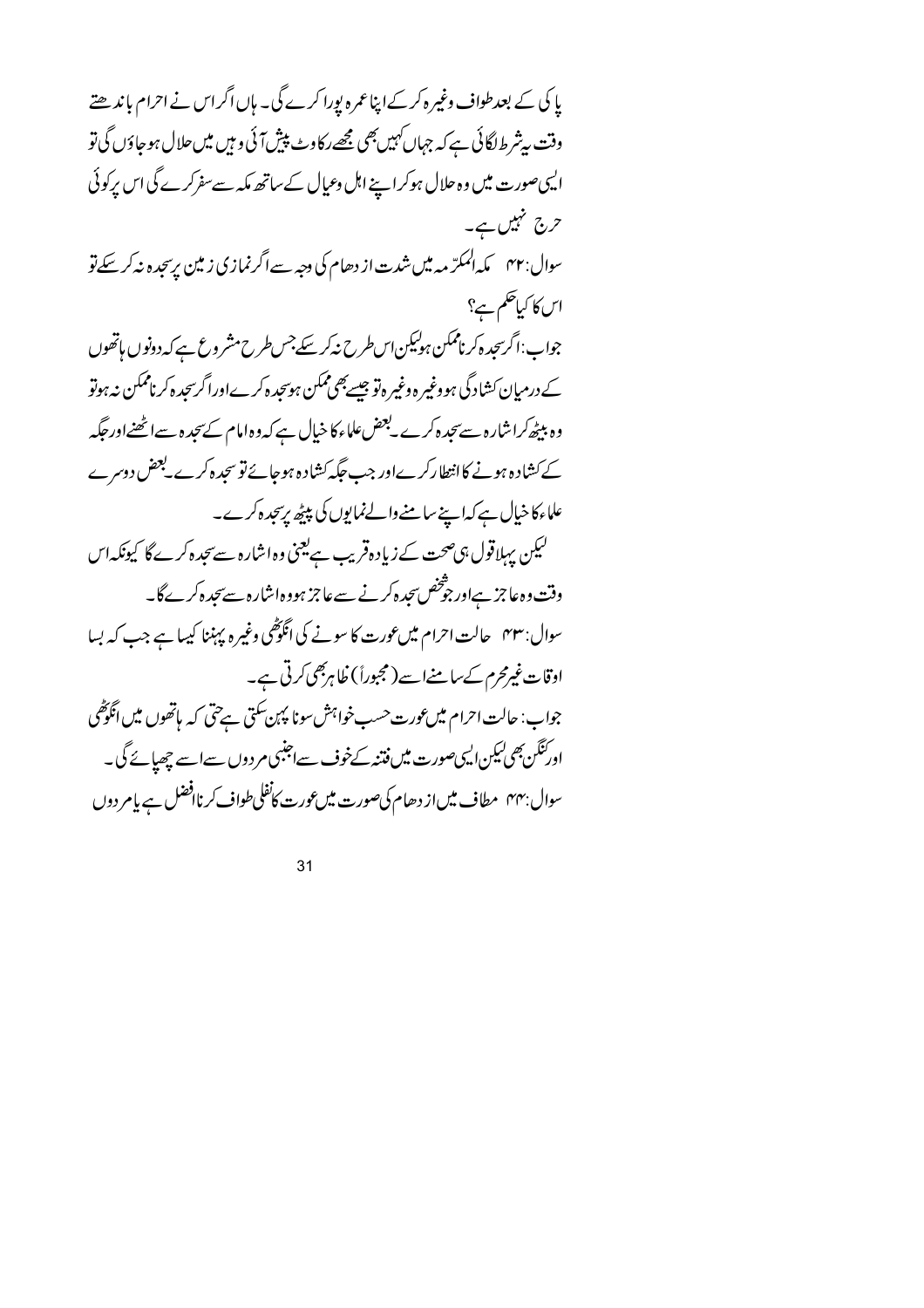یا کی کے بعدطواف وغیرہ کرکےا پناعمرہ یورا کرے گی۔ ہاں اگراس نے احرام باندھتے وقت پیشرط لگائی ہے کہ جہاں *کہیں بھی مجھے د*کاوٹ پیش آئی و ہیں میں حلال ہوجاؤں گی تو الیہی صورت میں وہ حلال ہوکرا ہے اہل وعیال کے ساتھ مکہ سے سفرکرے گی اس پرکوئی حرج تنہیں ہے۔ سوال: ۴۲ گله المکرّ مه میں شدت از دھام کی وجہ سے اگرنمازی زمین پرسجدہ نہ کر سکے تو اس کا کیا حکم ہے؟ جواب:اگرسحدہ کرناممکن ہولیکن اس طرح نیکر سکے جس طرح مشر وع ہے کہ دونوں ہاتھوں کے درمیان کشادگی ہووغیر ہ وغیر ہاتو جیسےبھی ممکن ہوسجد ہ کرےاورا گرسجد ہ کرناممکن نہ ہوتو وہ بیٹھ کراشارہ سے سجدہ کرے۔بعض علماء کا خیال ہے کہ وہ امام کے سجد ہ سے اٹھنےاور حکیہ کے کشادہ ہونے کاانتطارکرےاور جب جگہ کشادہ ہوجائے تو سجدہ کرے لجض دوسرے علماء کا خیال ہے کہ اپنے سامنے والےنمایوں کی پیٹھ پرسچدہ کرے۔ کیکن پہلاقول ہی صحت کے زیادہ قریب ہے یعنی وہ اشارہ سے سجدہ کرے گا کیونکہ اس وقت وہ عاجز ہےاور جو شخص سجدہ کرنے سے عاجز ہووہ اشارہ سے سجدہ کرے گا۔ سوال: ۴۳ حالت احرام میں عورت کا سونے کی انگوٹھی وغیرہ پہننا کیہا ہے جب کہ بسا اوقات غیرمحرم کےسامنےاسے (مجبوراً) ظاہربھی کرتی ہے۔ جواب: حالت احرام میں عورت حسب خواہش سونا پہن سکتی ہے حتی کہ پاتھوں میں انگوٹھی ادرنگن بھی لیکن ایسی صورت میں فتنہ کےخوف سےاجنبی مردوں سے اسے چھائے گی۔ سوال بہہم مطاف میں از دھام کی صورت میں عورت کانفلی طواف کرناافضل ہے پامر دوں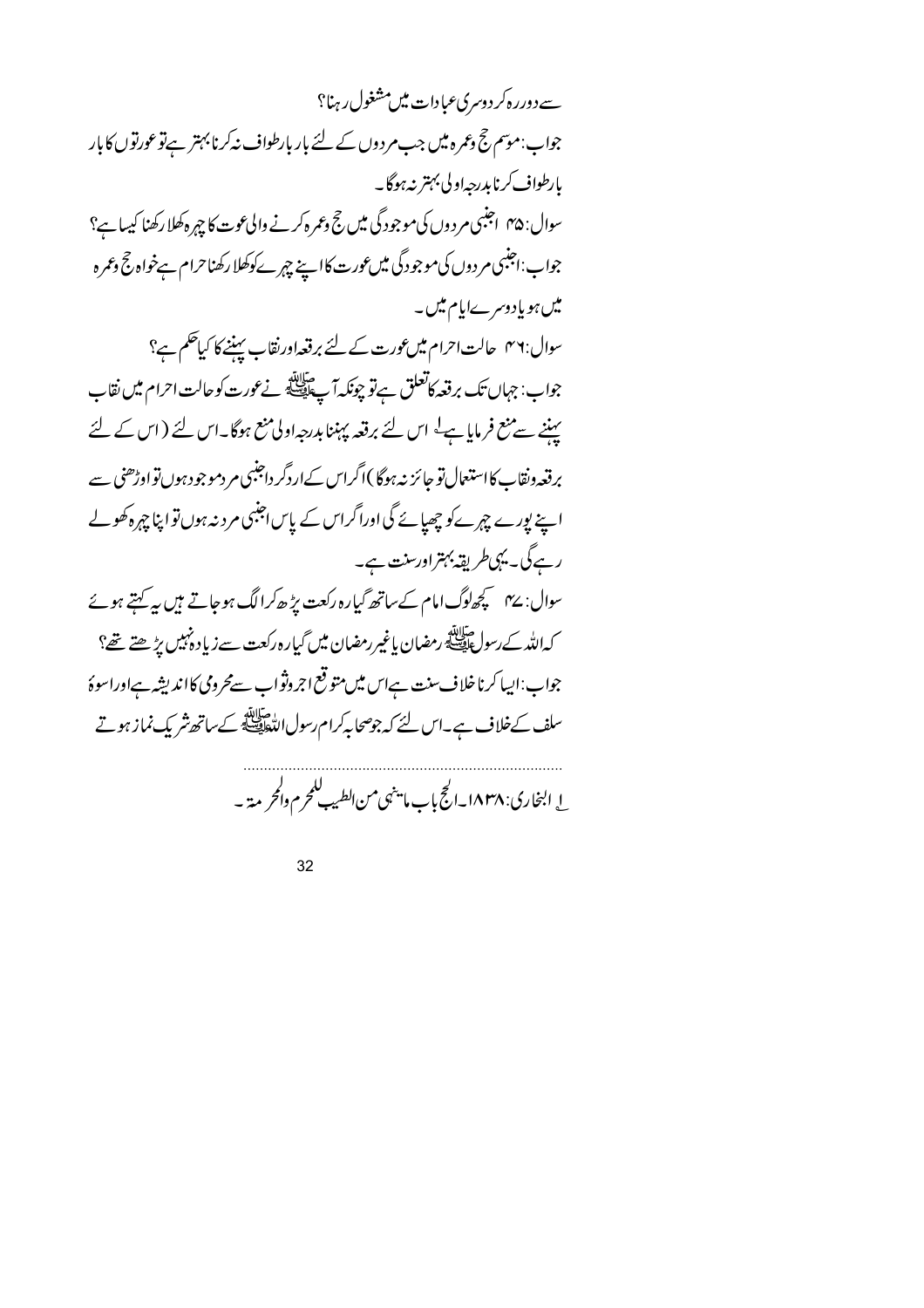<sub>سے</sub> دوررہ کردوسری عبادات میں مشغول رہنا؟ جواب:موسم حج وعمرہ میں جب مردوں کے لئے بار بارطواف نہ کرنا بہتر ہےتو عورتوں کا بار بارطواف کرنابدرجهاولی بہتر نہ ہوگا۔ سوال: ۴۵ | جنبی مر دوں کی موجود گی میں جج وعمرہ کرنے والی عوت کا چہرہ کھلا رکھنا کیسا ہے؟ جواب:اجنبی مر دوں کی موجود گی میں عورت کااپنے چہرے کوکھلا رکھناحرام ہےخواہ حج دعمرہ میں ہو یادوسرےایام میں۔ سوال:٣٦ حالت احرام میں عورت کے لئے برقعہ اورنقاب پہننے کا کیا حکم ہے؟ جواب: جہاں تک برقعہ کاتعلق ہےتو چونکہ آپ اللہ کے نے عورت کوحالت احرام میں نقاب پیننے سے منع فرمایا ہے کہ اس لئے برقعہ پہننا بدرجہ اولی منع ہوگا۔اس لئے (اس کے لئے برقعہ ونقاب کا استعمال تو جائز نہ ہوگا )اگراس کےاردگر داجنبی مر دموجود ہوں تو اوڑھنی سے اپنے پورے چہرےکو چھیائے گی اوراگراس کے پاس اجنبی مرد نہ ہوں تواپنا چہرہ کھولے رہےگی۔ یہی طریقہ بہتراورسنت ہے۔ سوال: ۴۷ سچھاوگ امام کے ساتھ گیارہ رکعت پڑھ کرالگ ہوجاتے ہیں ہے کہتے ہوئے کەللەك رسول قايلىق رمضان ياغىررمضان مىن گیارەركعت سےزیاد *مہیں پڑھتے* تھ؟ جواب:ایپا کرناخلاف سنت ہےاس میں متوقع اجروثواب سےمحرومی کااندیشہ ہےاوراسوۂ سلف کےخلاف ہے۔اس لئے کہ جوصحا پہ کرام رسول اللہ اپنے کے ساتھ شریک نماز ہوتے

ل البخاري: ۱۸۳۸ـ الحج باب ما ينهي من الطيب للحرم والحريمة -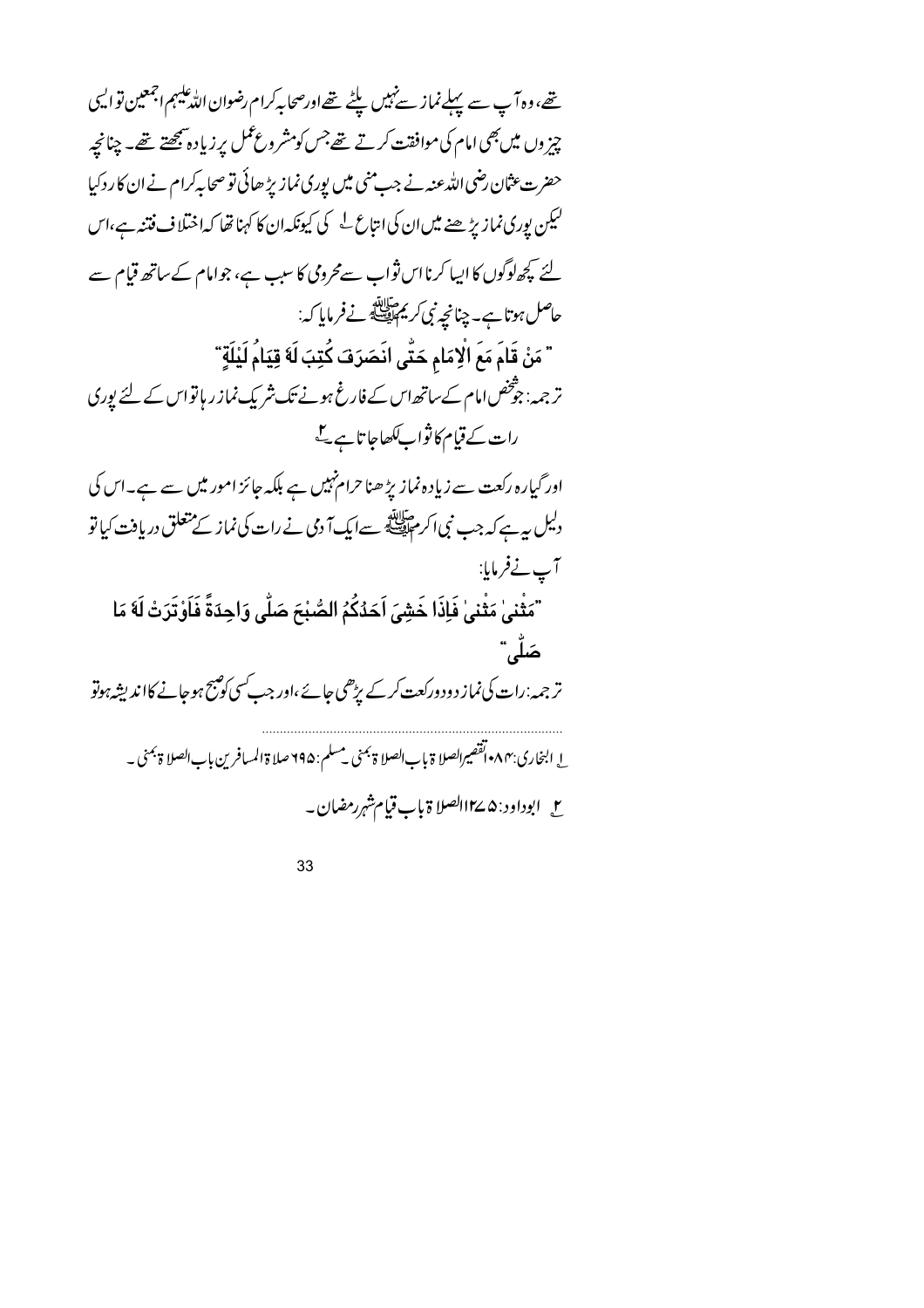تھے، وہ آپ سے پہلےنماز سےنہیں پلٹے تھےاورصحابہ کرام رضوان اللہ علیہم اجمعین تو ا<sup>ی</sup>سی چیز وں میں بھی امام کی موافقت کرتے تھے جس کومشر وع عمل پر زیاد ہ بھچتے تھے۔ چنانچہ حضرت عثان رضی اللہ عنہ نے جب منی میں پوری نماز بڑ ھائی تو صحابہ کرام نے ان کا رد کیا لیکن پوری نماز بڑھنے میں ان کی انتاع کے کیونکہ ان کا کہنا تھا کہ اختلاف فتنہ ہے،اس لئے کچھالوگوں کا ایبا کرنا اس ثواب سے محرومی کا سبب ہے، جوامام کے ساتھ قیام سے حاصل ہوتا ہے۔ چنانچہ نبی کر پر حالاتھ نے فرمایا کہ: " مَنْ قَامَ مَعَ الْإِمَامِ حَتَّى انَصَرَفَ كُتِبَ لَهُ قِيَامُ لَيْلَةٍ ّ تر جہہ: جوْخص امام کےساتھ اس کے فارغ ہونے تک شریک نماز ر ہاتواس کے لئے پوری رات کے قیام کا نواب *لکھ*اجا تا ہے گے اور گیارہ رکعت سے زیادہ نماز پڑھنا حرام نہیں ہے بلکہ جائز امور میں سے ہے۔اس کی دلیل پہ ہے کہ جب نبی اکر م اقلیقی سے ایک آ دی نے رات کی نماز کے متعلق دریافت کیا تو آپ نےفرمایا: "مَثْنىٰ مَثْنىٰ فَإِذَا خَشِيَ اَحَدُكُمُ الصُّبْحَ صَلّٰى وَاحِدَةً فَاَوْتَرَتْ لَهَ مَا صَلُّبٌ تر جمہ:رات کی نماز دود درکعت کرکے پڑھی جائے ،اور جب کسی کو پیج ہوجانے کااندیشہ ہوتو ا إلىخاري:٨٣ اتقصيرالصلا ة بإب الصلا ة <sup>بمن</sup>ى ي<sup>مسلم :</sup> ٩٩٥ صلا ة المسافرين بإب الصلا ة بمنى \_ ح \_ ابوداود : ۵ کے١٢الصلا ة باب قيام شہر رمضان ۔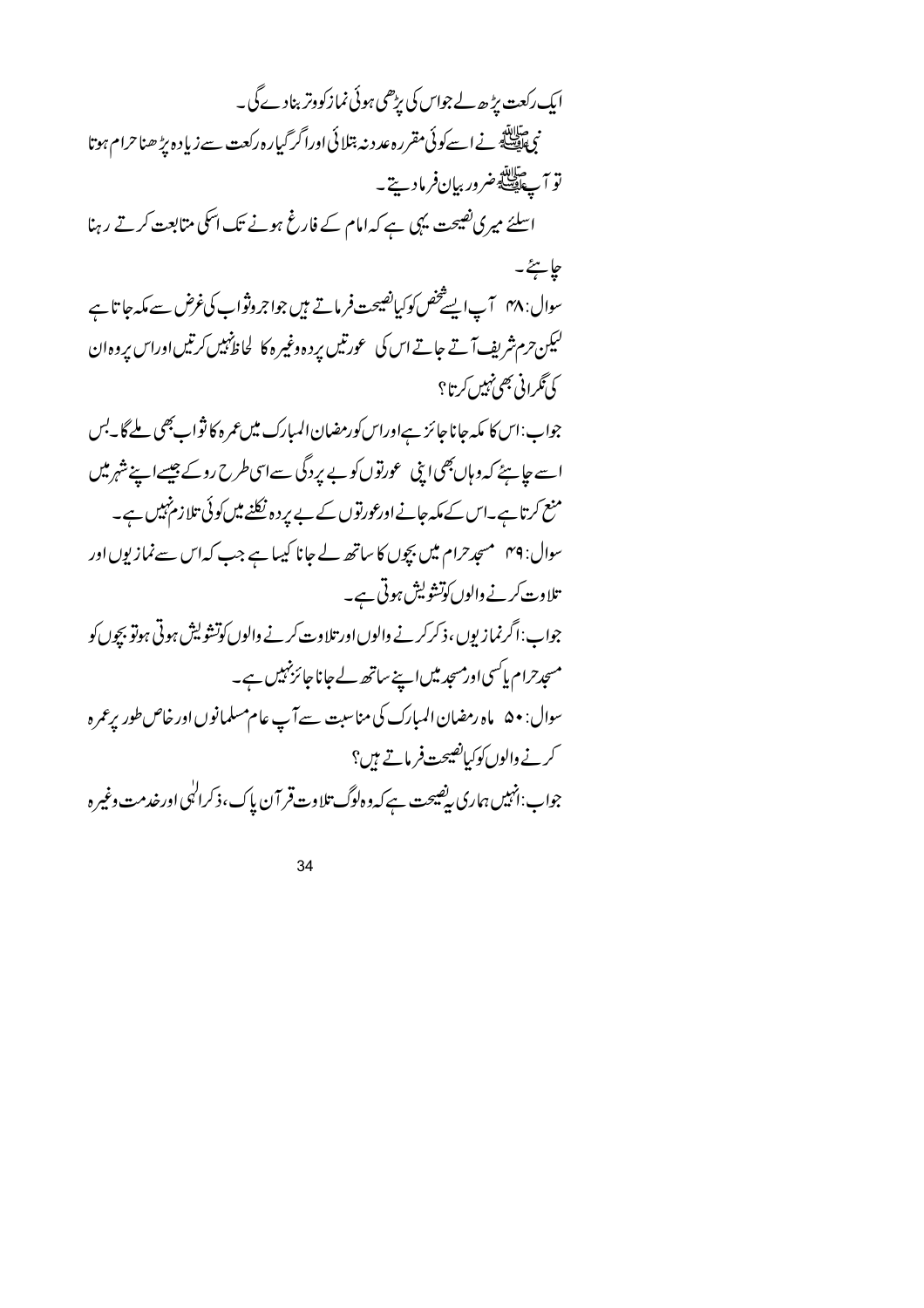| ایک رکعت پڑھ لے جواس کی پڑھی ہوئی نماز کووتر بنادے گی۔                                         |
|------------------------------------------------------------------------------------------------|
| .<br>نبی ایک اسے کوئی مقررہ عدد نہ بتلائی اورا گر گیارہ رکعت سے زیادہ پڑھنا حرام ہوتا          |
| تو آپ آ <sup>لات</sup> ه ضرور بیان فرمادیت <sup>ے</sup> ۔                                      |
| اسلئے میری نصیحت یہی ہے کہ امام کے فارغ ہونے تک اسکی متابعت کرتے رہنا                          |
| جايځ۔                                                                                          |
| سوال: ۴۸   آپ ایسے خص کوکیانصیحت فرماتے ہیں جواجر وثواب کی غرض سے مکہ جا تا ہے                 |
| لیکن حرم شریف آتے جاتے اس کی عورتیں پردہ وغیرہ کا لحاظ نہیں کرتیں اوراس پروہ ان                |
| کی تګرانی بھی نہیں کرتا ؟                                                                      |
| جواب:اس کا مکہ جانا جائز ہےاوراس کورمضان المبارک میں عمرہ کا ثواب بھی ملے گا۔بس                |
| اسے جا ہئے کہ وہاں بھی اپنی عورتوں کو بے پردگی سےاسی طرح روکے جیسےاپنے شہر میں                 |
| منع کرتا ہے۔اس کے مکہ جانےاورعورتوں کے بے پر دہ نکلنے میں کوئی تلا زم نہیں ہے۔                 |
| سوال: ۴۹   مسجد حرام میں بچوں کا ساتھ لے جانا کیہا ہے جب کہ اس سے نمازیوں اور                  |
| تلاوت کرنے والوں کوتشویش ہوتی ہے۔                                                              |
| جواب: اگر نماز بوں ، ذکر کرنے والوں اور تلاوت کرنے والوں کوتشو لیش ہوتی ہوتو بچوں کو           |
| مسجدحرام پاکسی اورمسجد میں اپنے ساتھ لے جانا جائز نہیں ہے۔                                     |
| سوال: • ۵   ماه رمضان المبارك كى مناسبت سے آپ عام مسلمانوں اور خاص طور پرعمر ه                 |
| کرنے والوں کوکیاتھیجت فرماتے ہیں؟                                                              |
| جواب:انہیں ہماری <i>پیضیحت ہے کہ</i> دہ لوگ تلاوت قر آن پاک،ذکرا <sup>ل</sup> ی اورخدمت وغیر ہ |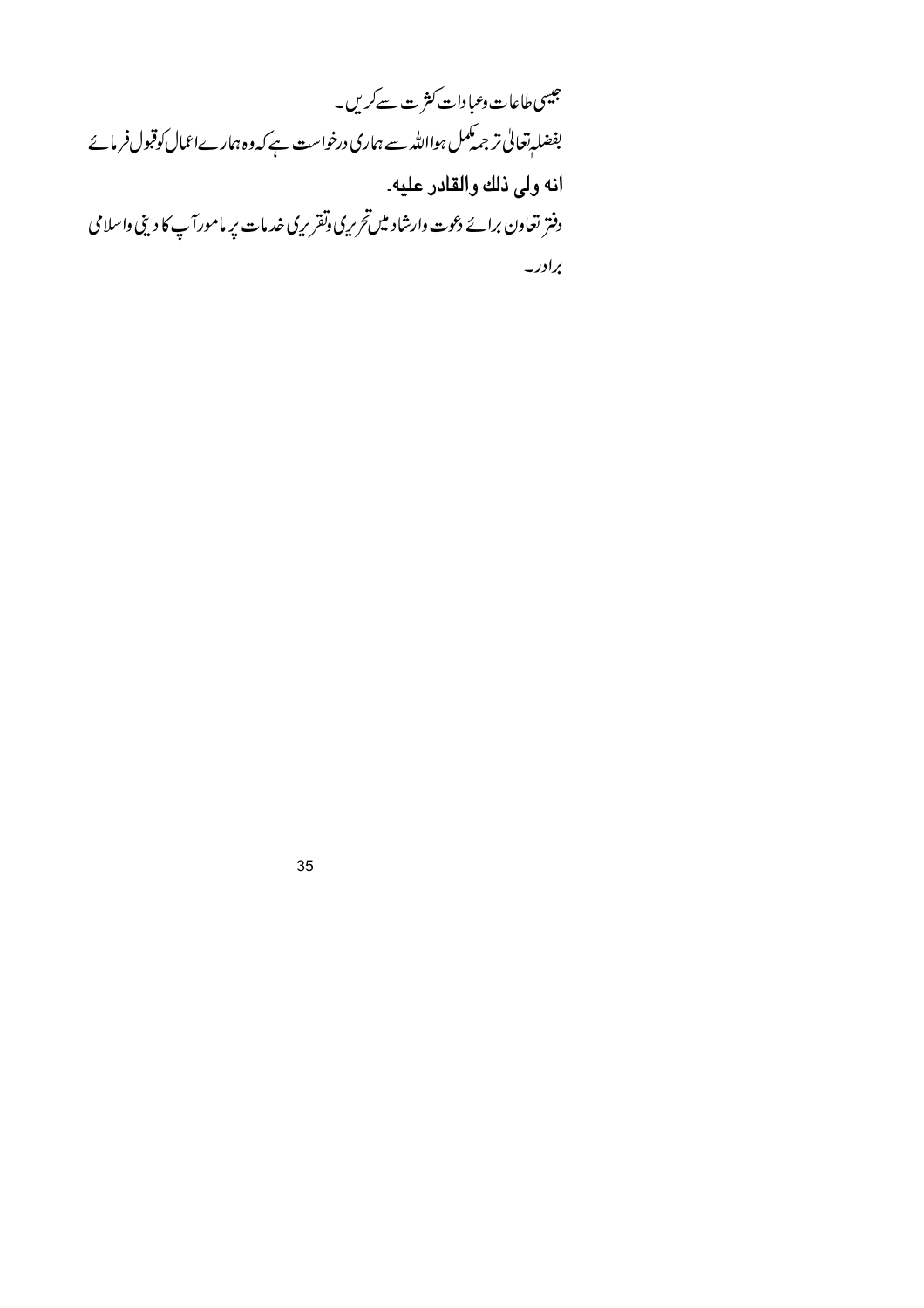جیسی طاعات <sub>وعبا</sub>دات کثرت سے کریں۔ بفضلہ تعالیٰ تر جمہ مکمل ہوااللہ سے ہماری درخواست ہے کہ وہ ہمارےاعمال کوقبول فرمائے انه ولى ذلك والقادر عليه۔ دفتر تعاون برائے دعوت وارشاد میںتحریری وتقریری خدمات پر مامورآپ کا دینی واسلامی برادر۔